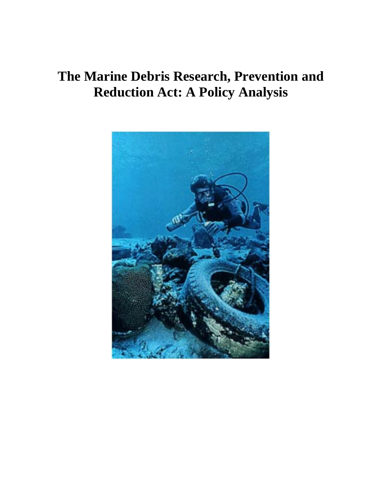# **The Marine Debris Research, Prevention and Reduction Act: A Policy Analysis**

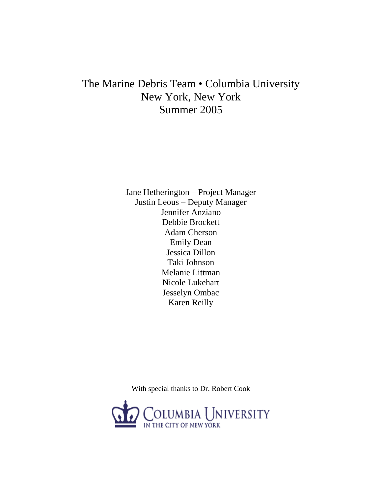# The Marine Debris Team • Columbia University New York, New York Summer 2005

Jane Hetherington – Project Manager Justin Leous – Deputy Manager Jennifer Anziano Debbie Brockett Adam Cherson Emily Dean Jessica Dillon Taki Johnson Melanie Littman Nicole Lukehart Jesselyn Ombac Karen Reilly

With special thanks to Dr. Robert Cook

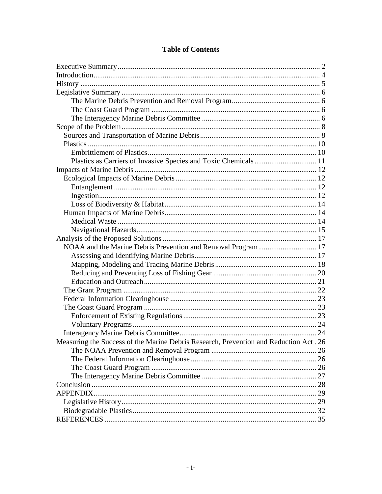| Measuring the Success of the Marine Debris Research, Prevention and Reduction Act. 26 |  |
|---------------------------------------------------------------------------------------|--|
|                                                                                       |  |
|                                                                                       |  |
|                                                                                       |  |
|                                                                                       |  |
|                                                                                       |  |
| APPENDIX.                                                                             |  |
|                                                                                       |  |
|                                                                                       |  |
|                                                                                       |  |

# **Table of Contents**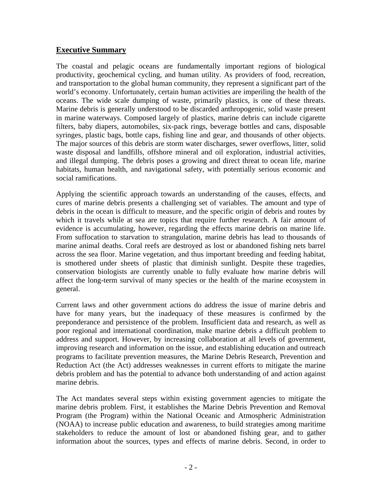# **Executive Summary**

The coastal and pelagic oceans are fundamentally important regions of biological productivity, geochemical cycling, and human utility. As providers of food, recreation, and transportation to the global human community, they represent a significant part of the world's economy. Unfortunately, certain human activities are imperiling the health of the oceans. The wide scale dumping of waste, primarily plastics, is one of these threats. Marine debris is generally understood to be discarded anthropogenic, solid waste present in marine waterways. Composed largely of plastics, marine debris can include cigarette filters, baby diapers, automobiles, six-pack rings, beverage bottles and cans, disposable syringes, plastic bags, bottle caps, fishing line and gear, and thousands of other objects. The major sources of this debris are storm water discharges, sewer overflows, litter, solid waste disposal and landfills, offshore mineral and oil exploration, industrial activities, and illegal dumping. The debris poses a growing and direct threat to ocean life, marine habitats, human health, and navigational safety, with potentially serious economic and social ramifications.

Applying the scientific approach towards an understanding of the causes, effects, and cures of marine debris presents a challenging set of variables. The amount and type of debris in the ocean is difficult to measure, and the specific origin of debris and routes by which it travels while at sea are topics that require further research. A fair amount of evidence is accumulating, however, regarding the effects marine debris on marine life. From suffocation to starvation to strangulation, marine debris has lead to thousands of marine animal deaths. Coral reefs are destroyed as lost or abandoned fishing nets barrel across the sea floor. Marine vegetation, and thus important breeding and feeding habitat, is smothered under sheets of plastic that diminish sunlight. Despite these tragedies, conservation biologists are currently unable to fully evaluate how marine debris will affect the long-term survival of many species or the health of the marine ecosystem in general.

Current laws and other government actions do address the issue of marine debris and have for many years, but the inadequacy of these measures is confirmed by the preponderance and persistence of the problem. Insufficient data and research, as well as poor regional and international coordination, make marine debris a difficult problem to address and support. However, by increasing collaboration at all levels of government, improving research and information on the issue, and establishing education and outreach programs to facilitate prevention measures, the Marine Debris Research, Prevention and Reduction Act (the Act) addresses weaknesses in current efforts to mitigate the marine debris problem and has the potential to advance both understanding of and action against marine debris.

The Act mandates several steps within existing government agencies to mitigate the marine debris problem. First, it establishes the Marine Debris Prevention and Removal Program (the Program) within the National Oceanic and Atmospheric Administration (NOAA) to increase public education and awareness, to build strategies among maritime stakeholders to reduce the amount of lost or abandoned fishing gear, and to gather information about the sources, types and effects of marine debris. Second, in order to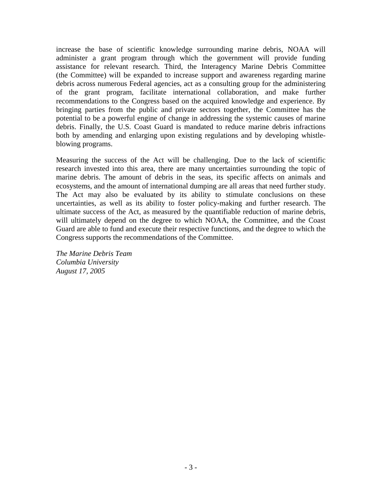increase the base of scientific knowledge surrounding marine debris, NOAA will administer a grant program through which the government will provide funding assistance for relevant research. Third, the Interagency Marine Debris Committee (the Committee) will be expanded to increase support and awareness regarding marine debris across numerous Federal agencies, act as a consulting group for the administering of the grant program, facilitate international collaboration, and make further recommendations to the Congress based on the acquired knowledge and experience. By bringing parties from the public and private sectors together, the Committee has the potential to be a powerful engine of change in addressing the systemic causes of marine debris. Finally, the U.S. Coast Guard is mandated to reduce marine debris infractions both by amending and enlarging upon existing regulations and by developing whistleblowing programs.

Measuring the success of the Act will be challenging. Due to the lack of scientific research invested into this area, there are many uncertainties surrounding the topic of marine debris. The amount of debris in the seas, its specific affects on animals and ecosystems, and the amount of international dumping are all areas that need further study. The Act may also be evaluated by its ability to stimulate conclusions on these uncertainties, as well as its ability to foster policy-making and further research. The ultimate success of the Act, as measured by the quantifiable reduction of marine debris, will ultimately depend on the degree to which NOAA, the Committee, and the Coast Guard are able to fund and execute their respective functions, and the degree to which the Congress supports the recommendations of the Committee.

*The Marine Debris Team Columbia University August 17, 2005*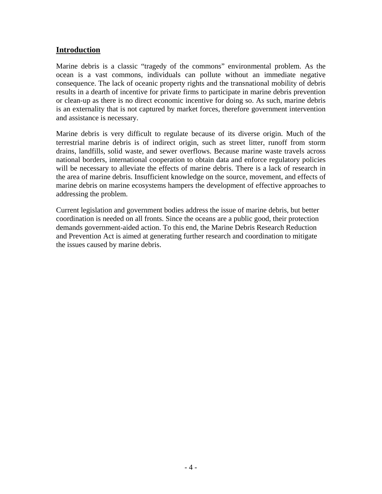# **Introduction**

Marine debris is a classic "tragedy of the commons" environmental problem. As the ocean is a vast commons, individuals can pollute without an immediate negative consequence. The lack of oceanic property rights and the transnational mobility of debris results in a dearth of incentive for private firms to participate in marine debris prevention or clean-up as there is no direct economic incentive for doing so. As such, marine debris is an externality that is not captured by market forces, therefore government intervention and assistance is necessary.

Marine debris is very difficult to regulate because of its diverse origin. Much of the terrestrial marine debris is of indirect origin, such as street litter, runoff from storm drains, landfills, solid waste, and sewer overflows. Because marine waste travels across national borders, international cooperation to obtain data and enforce regulatory policies will be necessary to alleviate the effects of marine debris. There is a lack of research in the area of marine debris. Insufficient knowledge on the source, movement, and effects of marine debris on marine ecosystems hampers the development of effective approaches to addressing the problem.

Current legislation and government bodies address the issue of marine debris, but better coordination is needed on all fronts. Since the oceans are a public good, their protection demands government-aided action. To this end, the Marine Debris Research Reduction and Prevention Act is aimed at generating further research and coordination to mitigate the issues caused by marine debris.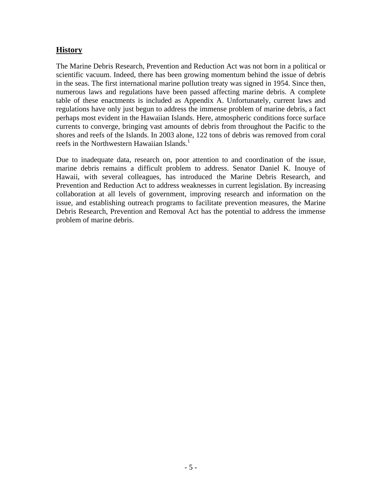# **History**

The Marine Debris Research, Prevention and Reduction Act was not born in a political or scientific vacuum. Indeed, there has been growing momentum behind the issue of debris in the seas. The first international marine pollution treaty was signed in 1954. Since then, numerous laws and regulations have been passed affecting marine debris. A complete table of these enactments is included as Appendix A. Unfortunately, current laws and regulations have only just begun to address the immense problem of marine debris, a fact perhaps most evident in the Hawaiian Islands. Here, atmospheric conditions force surface currents to converge, bringing vast amounts of debris from throughout the Pacific to the shores and reefs of the Islands. In 2003 alone, 122 tons of debris was removed from coral reefs in the Northwestern Hawaiian Islands.<sup>1</sup>

Due to inadequate data, research on, poor attention to and coordination of the issue, marine debris remains a difficult problem to address. Senator Daniel K. Inouye of Hawaii, with several colleagues, has introduced the Marine Debris Research, and Prevention and Reduction Act to address weaknesses in current legislation. By increasing collaboration at all levels of government, improving research and information on the issue, and establishing outreach programs to facilitate prevention measures, the Marine Debris Research, Prevention and Removal Act has the potential to address the immense problem of marine debris.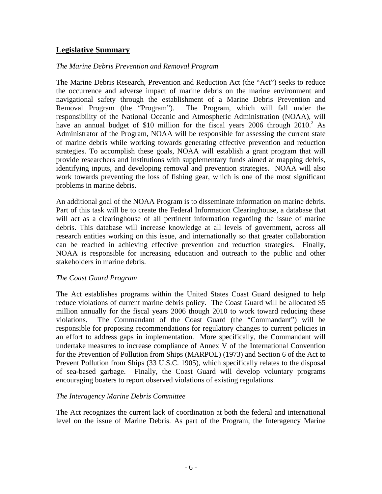# **Legislative Summary**

#### *The Marine Debris Prevention and Removal Program*

The Marine Debris Research, Prevention and Reduction Act (the "Act") seeks to reduce the occurrence and adverse impact of marine debris on the marine environment and navigational safety through the establishment of a Marine Debris Prevention and Removal Program (the "Program"). The Program, which will fall under the responsibility of the National Oceanic and Atmospheric Administration (NOAA), will have an annual budget of \$10 million for the fiscal years  $2006$  through  $2010$ <sup>2</sup> As Administrator of the Program, NOAA will be responsible for assessing the current state of marine debris while working towards generating effective prevention and reduction strategies. To accomplish these goals, NOAA will establish a grant program that will provide researchers and institutions with supplementary funds aimed at mapping debris, identifying inputs, and developing removal and prevention strategies. NOAA will also work towards preventing the loss of fishing gear, which is one of the most significant problems in marine debris.

An additional goal of the NOAA Program is to disseminate information on marine debris. Part of this task will be to create the Federal Information Clearinghouse, a database that will act as a clearinghouse of all pertinent information regarding the issue of marine debris. This database will increase knowledge at all levels of government, across all research entities working on this issue, and internationally so that greater collaboration can be reached in achieving effective prevention and reduction strategies. Finally, NOAA is responsible for increasing education and outreach to the public and other stakeholders in marine debris.

#### *The Coast Guard Program*

The Act establishes programs within the United States Coast Guard designed to help reduce violations of current marine debris policy. The Coast Guard will be allocated \$5 million annually for the fiscal years 2006 though 2010 to work toward reducing these violations. The Commandant of the Coast Guard (the "Commandant") will be responsible for proposing recommendations for regulatory changes to current policies in an effort to address gaps in implementation. More specifically, the Commandant will undertake measures to increase compliance of Annex V of the International Convention for the Prevention of Pollution from Ships (MARPOL) (1973) and Section 6 of the Act to Prevent Pollution from Ships (33 U.S.C. 1905), which specifically relates to the disposal of sea-based garbage. Finally, the Coast Guard will develop voluntary programs encouraging boaters to report observed violations of existing regulations.

#### *The Interagency Marine Debris Committee*

The Act recognizes the current lack of coordination at both the federal and international level on the issue of Marine Debris. As part of the Program, the Interagency Marine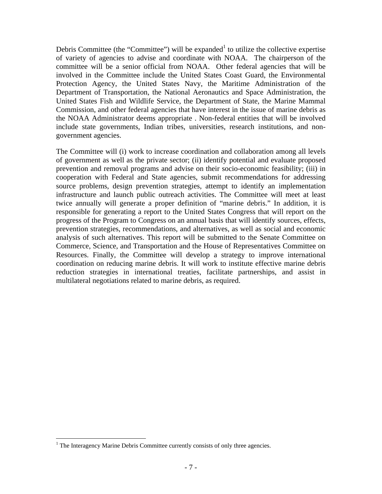Debris Committee (the "Committee") will be expanded<sup>1</sup> to utilize the collective expertise of variety of agencies to advise and coordinate with NOAA. The chairperson of the committee will be a senior official from NOAA. Other federal agencies that will be involved in the Committee include the United States Coast Guard, the Environmental Protection Agency, the United States Navy, the Maritime Administration of the Department of Transportation, the National Aeronautics and Space Administration, the United States Fish and Wildlife Service, the Department of State, the Marine Mammal Commission, and other federal agencies that have interest in the issue of marine debris as the NOAA Administrator deems appropriate . Non-federal entities that will be involved include state governments, Indian tribes, universities, research institutions, and nongovernment agencies.

The Committee will (i) work to increase coordination and collaboration among all levels of government as well as the private sector; (ii) identify potential and evaluate proposed prevention and removal programs and advise on their socio-economic feasibility; (iii) in cooperation with Federal and State agencies, submit recommendations for addressing source problems, design prevention strategies, attempt to identify an implementation infrastructure and launch public outreach activities. The Committee will meet at least twice annually will generate a proper definition of "marine debris." In addition, it is responsible for generating a report to the United States Congress that will report on the progress of the Program to Congress on an annual basis that will identify sources, effects, prevention strategies, recommendations, and alternatives, as well as social and economic analysis of such alternatives. This report will be submitted to the Senate Committee on Commerce, Science, and Transportation and the House of Representatives Committee on Resources. Finally, the Committee will develop a strategy to improve international coordination on reducing marine debris. It will work to institute effective marine debris reduction strategies in international treaties, facilitate partnerships, and assist in multilateral negotiations related to marine debris, as required.

1

 $<sup>1</sup>$  The Interagency Marine Debris Committee currently consists of only three agencies.</sup>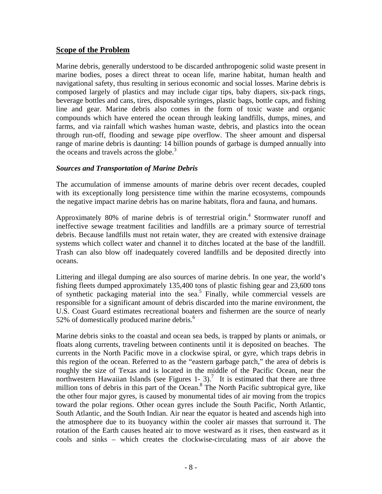#### **Scope of the Problem**

Marine debris, generally understood to be discarded anthropogenic solid waste present in marine bodies, poses a direct threat to ocean life, marine habitat, human health and navigational safety, thus resulting in serious economic and social losses. Marine debris is composed largely of plastics and may include cigar tips, baby diapers, six-pack rings, beverage bottles and cans, tires, disposable syringes, plastic bags, bottle caps, and fishing line and gear. Marine debris also comes in the form of toxic waste and organic compounds which have entered the ocean through leaking landfills, dumps, mines, and farms, and via rainfall which washes human waste, debris, and plastics into the ocean through run-off, flooding and sewage pipe overflow. The sheer amount and dispersal range of marine debris is daunting: 14 billion pounds of garbage is dumped annually into the oceans and travels across the globe.<sup>3</sup>

#### *Sources and Transportation of Marine Debris*

The accumulation of immense amounts of marine debris over recent decades, coupled with its exceptionally long persistence time within the marine ecosystems, compounds the negative impact marine debris has on marine habitats, flora and fauna, and humans.

Approximately 80% of marine debris is of terrestrial origin.<sup>4</sup> Stormwater runoff and ineffective sewage treatment facilities and landfills are a primary source of terrestrial debris. Because landfills must not retain water, they are created with extensive drainage systems which collect water and channel it to ditches located at the base of the landfill. Trash can also blow off inadequately covered landfills and be deposited directly into oceans.

Littering and illegal dumping are also sources of marine debris. In one year, the world's fishing fleets dumped approximately 135,400 tons of plastic fishing gear and 23,600 tons of synthetic packaging material into the sea.<sup>5</sup> Finally, while commercial vessels are responsible for a significant amount of debris discarded into the marine environment, the U.S. Coast Guard estimates recreational boaters and fishermen are the source of nearly 52% of domestically produced marine debris. $6$ 

Marine debris sinks to the coastal and ocean sea beds, is trapped by plants or animals, or floats along currents, traveling between continents until it is deposited on beaches. The currents in the North Pacific move in a clockwise spiral, or gyre, which traps debris in this region of the ocean. Referred to as the "eastern garbage patch," the area of debris is roughly the size of Texas and is located in the middle of the Pacific Ocean, near the northwestern Hawaiian Islands (see Figures 1- 3).<sup>7</sup> It is estimated that there are three million tons of debris in this part of the Ocean.<sup>8</sup> The North Pacific subtropical gyre, like the other four major gyres, is caused by monumental tides of air moving from the tropics toward the polar regions. Other ocean gyres include the South Pacific, North Atlantic, South Atlantic, and the South Indian. Air near the equator is heated and ascends high into the atmosphere due to its buoyancy within the cooler air masses that surround it. The rotation of the Earth causes heated air to move westward as it rises, then eastward as it cools and sinks – which creates the clockwise-circulating mass of air above the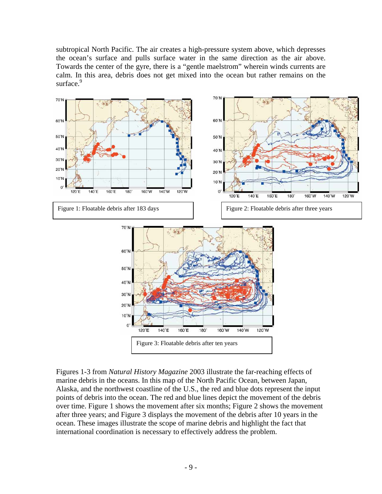subtropical North Pacific. The air creates a high-pressure system above, which depresses the ocean's surface and pulls surface water in the same direction as the air above. Towards the center of the gyre, there is a "gentle maelstrom" wherein winds currents are calm. In this area, debris does not get mixed into the ocean but rather remains on the surface.<sup>9</sup>



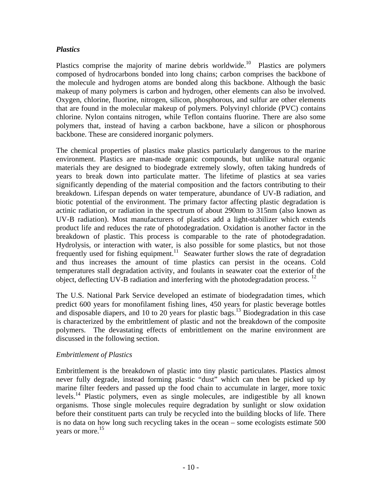### *Plastics*

Plastics comprise the majority of marine debris worldwide.<sup>10</sup> Plastics are polymers composed of hydrocarbons bonded into long chains; carbon comprises the backbone of the molecule and hydrogen atoms are bonded along this backbone. Although the basic makeup of many polymers is carbon and hydrogen, other elements can also be involved. Oxygen, chlorine, fluorine, nitrogen, silicon, phosphorous, and sulfur are other elements that are found in the molecular makeup of polymers. Polyvinyl chloride (PVC) contains chlorine. Nylon contains nitrogen, while Teflon contains fluorine. There are also some polymers that, instead of having a carbon backbone, have a silicon or phosphorous backbone. These are considered inorganic polymers.

The chemical properties of plastics make plastics particularly dangerous to the marine environment. Plastics are man-made organic compounds, but unlike natural organic materials they are designed to biodegrade extremely slowly, often taking hundreds of years to break down into particulate matter. The lifetime of plastics at sea varies significantly depending of the material composition and the factors contributing to their breakdown. Lifespan depends on water temperature, abundance of UV-B radiation, and biotic potential of the environment. The primary factor affecting plastic degradation is actinic radiation, or radiation in the spectrum of about 290nm to 315nm (also known as UV-B radiation). Most manufacturers of plastics add a light-stabilizer which extends product life and reduces the rate of photodegradation. Oxidation is another factor in the breakdown of plastic. This process is comparable to the rate of photodegradation. Hydrolysis, or interaction with water, is also possible for some plastics, but not those frequently used for fishing equipment.<sup>11</sup> Seawater further slows the rate of degradation and thus increases the amount of time plastics can persist in the oceans. Cold temperatures stall degradation activity, and foulants in seawater coat the exterior of the object, deflecting UV-B radiation and interfering with the photodegradation process.  $^{12}$ 

The U.S. National Park Service developed an estimate of biodegradation times, which predict 600 years for monofilament fishing lines, 450 years for plastic beverage bottles and disposable diapers, and 10 to 20 years for plastic bags.<sup>13</sup> Biodegradation in this case is characterized by the embrittlement of plastic and not the breakdown of the composite polymers. The devastating effects of embrittlement on the marine environment are discussed in the following section.

#### *Embrittlement of Plastics*

Embrittlement is the breakdown of plastic into tiny plastic particulates. Plastics almost never fully degrade, instead forming plastic "dust" which can then be picked up by marine filter feeders and passed up the food chain to accumulate in larger, more toxic levels.<sup>14</sup> Plastic polymers, even as single molecules, are indigestible by all known organisms. Those single molecules require degradation by sunlight or slow oxidation before their constituent parts can truly be recycled into the building blocks of life. There is no data on how long such recycling takes in the ocean – some ecologists estimate 500 years or more.<sup>15</sup>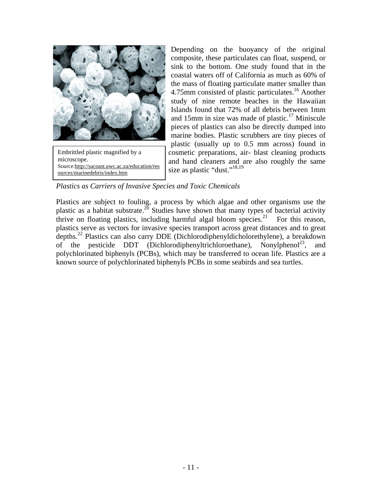

Embrittled plastic magnified by a microscope. Source:http://sacoast.uwc.ac.za/education/res ources/marinedebris/index.htm

Depending on the buoyancy of the original composite, these particulates can float, suspend, or sink to the bottom. One study found that in the coastal waters off of California as much as 60% of the mass of floating particulate matter smaller than 4.75mm consisted of plastic particulates.<sup>16</sup> Another study of nine remote beaches in the Hawaiian Islands found that 72% of all debris between 1mm and 15mm in size was made of plastic.<sup>17</sup> Miniscule pieces of plastics can also be directly dumped into marine bodies. Plastic scrubbers are tiny pieces of plastic (usually up to 0.5 mm across) found in cosmetic preparations, air- blast cleaning products and hand cleaners and are also roughly the same size as plastic "dust."<sup>18,19</sup>

*Plastics as Carriers of Invasive Species and Toxic Chemicals* 

Plastics are subject to fouling, a process by which algae and other organisms use the plastic as a habitat substrate.<sup>20</sup> Studies have shown that many types of bacterial activity thrive on floating plastics, including harmful algal bloom species.<sup>21</sup> For this reason, plastics serve as vectors for invasive species transport across great distances and to great depths.22 Plastics can also carry DDE (Dichlorodiphenyldicholorethylene), a breakdown of the pesticide DDT (Dichlorodiphenyltrichloroethane), Nonylphenol<sup>23</sup>, and polychlorinated biphenyls (PCBs), which may be transferred to ocean life. Plastics are a known source of polychlorinated biphenyls PCBs in some seabirds and sea turtles.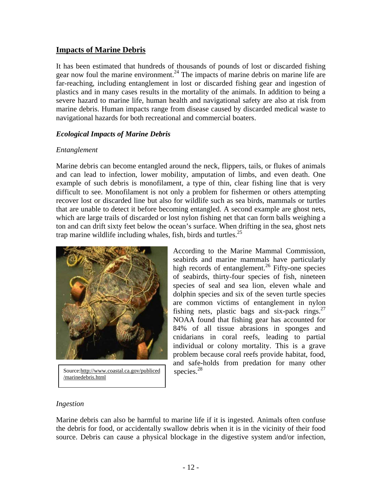# **Impacts of Marine Debris**

It has been estimated that hundreds of thousands of pounds of lost or discarded fishing gear now foul the marine environment.<sup>24</sup> The impacts of marine debris on marine life are far-reaching, including entanglement in lost or discarded fishing gear and ingestion of plastics and in many cases results in the mortality of the animals. In addition to being a severe hazard to marine life, human health and navigational safety are also at risk from marine debris. Human impacts range from disease caused by discarded medical waste to navigational hazards for both recreational and commercial boaters.

#### *Ecological Impacts of Marine Debris*

#### *Entanglement*

Marine debris can become entangled around the neck, flippers, tails, or flukes of animals and can lead to infection, lower mobility, amputation of limbs, and even death. One example of such debris is monofilament, a type of thin, clear fishing line that is very difficult to see. Monofilament is not only a problem for fishermen or others attempting recover lost or discarded line but also for wildlife such as sea birds, mammals or turtles that are unable to detect it before becoming entangled. A second example are ghost nets, which are large trails of discarded or lost nylon fishing net that can form balls weighing a ton and can drift sixty feet below the ocean's surface. When drifting in the sea, ghost nets trap marine wildlife including whales, fish, birds and turtles.<sup>25</sup>



Source:http://www.coastal.ca.gov/publiced /marinedebris.html

According to the Marine Mammal Commission, seabirds and marine mammals have particularly high records of entanglement.<sup>26</sup> Fifty-one species of seabirds, thirty-four species of fish, nineteen species of seal and sea lion, eleven whale and dolphin species and six of the seven turtle species are common victims of entanglement in nylon fishing nets, plastic bags and six-pack rings. $27$ NOAA found that fishing gear has accounted for 84% of all tissue abrasions in sponges and cnidarians in coral reefs, leading to partial individual or colony mortality. This is a grave problem because coral reefs provide habitat, food, and safe-holds from predation for many other species.<sup>28</sup>

#### *Ingestion*

Marine debris can also be harmful to marine life if it is ingested. Animals often confuse the debris for food, or accidentally swallow debris when it is in the vicinity of their food source. Debris can cause a physical blockage in the digestive system and/or infection,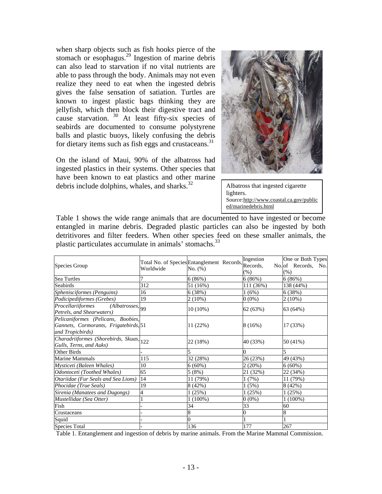when sharp objects such as fish hooks pierce of the stomach or esophagus. $^{29}$  Ingestion of marine debris can also lead to starvation if no vital nutrients are able to pass through the body. Animals may not even realize they need to eat when the ingested debris gives the false sensation of satiation. Turtles are known to ingest plastic bags thinking they are jellyfish, which then block their digestive tract and cause starvation.  $30$  At least fifty-six species of seabirds are documented to consume polystyrene balls and plastic buoys, likely confusing the debris for dietary items such as fish eggs and crustaceans. $31$ 

On the island of Maui, 90% of the albatross had ingested plastics in their systems. Other species that have been known to eat plastics and other marine debris include dolphins, whales, and sharks. $32$ 



Albatross that ingested cigarette lighters. Source:http://www.coastal.ca.gov/public ed/marinedebris.html

Table 1 shows the wide range animals that are documented to have ingested or become entangled in marine debris. Degraded plastic particles can also be ingested by both detritivores and filter feeders. When other species feed on these smaller animals, the plastic particulates accumulate in animals' stomachs.<sup>33</sup>

| Species Group                                                                                   | Worldwide | Total No. of Species Entanglement Records, Records,<br>No. (%) | Ingestion<br>$(\%)$ | One or Both Types<br>No. of Records, No.<br>(% ) |
|-------------------------------------------------------------------------------------------------|-----------|----------------------------------------------------------------|---------------------|--------------------------------------------------|
| Sea Turtles                                                                                     |           | 6(86%)                                                         | 6(86%)              | 6(86%)                                           |
| Seabirds                                                                                        | 312       | 51 (16%)                                                       | 111 (36%)           | 138 (44%)                                        |
| Sphenisciformes (Penguins)                                                                      | 16        | 6 (38%)                                                        | 1(6%)               | 6 (38%)                                          |
| Podicipediformes (Grebes)                                                                       | 19        | $2(10\%)$                                                      | $0(0\%)$            | $2(10\%)$                                        |
| Procellariiformes<br>$(Albatrosses,$ <sub>99</sub><br>Petrels, and Shearwaters)                 |           | 10 (10%)                                                       | 62 (63%)            | 63 (64%)                                         |
| Pelicaniformes (Pelicans, Boobies,<br>Gannets, Cormorants, Frigatebirds, 51<br>and Tropicbirds) |           | 11 (22%)                                                       | 8 (16%)             | 17 (33%)                                         |
| Charadriiformes (Shorebirds, Skuas, 122<br>Gulls, Terns, and Auks)                              |           | 22 (18%)                                                       | 40 (33%)            | 50 (41%)                                         |
| Other Birds                                                                                     |           |                                                                | 0                   |                                                  |
| Marine Mammals                                                                                  | 115       | 32 (28%)                                                       | 26 (23%)            | 49 (43%)                                         |
| Mysticeti (Baleen Whales)                                                                       | 10        | $6(60\%)$                                                      | 2(20%)              | $6(60\%)$                                        |
| Odontoceti (Toothed Whales)                                                                     | 65        | 5(8%)                                                          | 21 (32%)            | 22 (34%)                                         |
| Otariidae (Fur Seals and Sea Lions)                                                             | 14        | 11 (79%)                                                       | 1 (7%)              | 11 (79%)                                         |
| Phocidae (True Seals)                                                                           | 19        | 8 (42%)                                                        | 1(5%)               | 8 (42%)                                          |
| Sirenia (Manatees and Dugongs)                                                                  |           | 1(25%)                                                         | 1(25%)              | 1(25%)                                           |
| Mustellidae (Sea Otter)                                                                         |           | $1(100\%)$                                                     | $0(0\%)$            | $1(100\%)$                                       |
| Fish                                                                                            |           | 34                                                             | 33                  | 60                                               |
| Crustaceans                                                                                     |           |                                                                |                     | 8                                                |
| Squid                                                                                           |           |                                                                |                     |                                                  |
| <b>Species Total</b>                                                                            |           | 136                                                            | 177                 | 267                                              |

Table 1. Entanglement and ingestion of debris by marine animals. From the Marine Mammal Commission.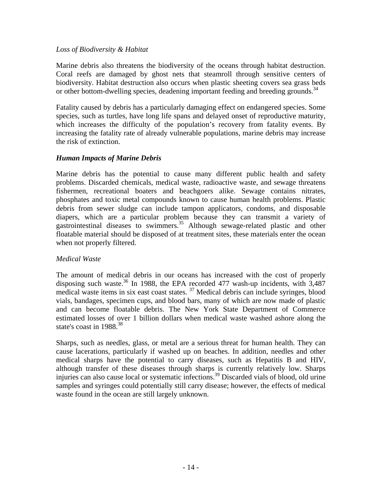#### *Loss of Biodiversity & Habitat*

Marine debris also threatens the biodiversity of the oceans through habitat destruction. Coral reefs are damaged by ghost nets that steamroll through sensitive centers of biodiversity. Habitat destruction also occurs when plastic sheeting covers sea grass beds or other bottom-dwelling species, deadening important feeding and breeding grounds.<sup>34</sup>

Fatality caused by debris has a particularly damaging effect on endangered species. Some species, such as turtles, have long life spans and delayed onset of reproductive maturity, which increases the difficulty of the population's recovery from fatality events. By increasing the fatality rate of already vulnerable populations, marine debris may increase the risk of extinction.

#### *Human Impacts of Marine Debris*

Marine debris has the potential to cause many different public health and safety problems. Discarded chemicals, medical waste, radioactive waste, and sewage threatens fishermen, recreational boaters and beachgoers alike. Sewage contains nitrates, phosphates and toxic metal compounds known to cause human health problems. Plastic debris from sewer sludge can include tampon applicators, condoms, and disposable diapers, which are a particular problem because they can transmit a variety of gastrointestinal diseases to swimmers.<sup>35</sup> Although sewage-related plastic and other floatable material should be disposed of at treatment sites, these materials enter the ocean when not properly filtered.

#### *Medical Waste*

The amount of medical debris in our oceans has increased with the cost of properly disposing such waste.<sup>36</sup> In 1988, the EPA recorded 477 wash-up incidents, with  $3,487$ medical waste items in six east coast states. 37 Medical debris can include syringes, blood vials, bandages, specimen cups, and blood bars, many of which are now made of plastic and can become floatable debris. The New York State Department of Commerce estimated losses of over 1 billion dollars when medical waste washed ashore along the state's coast in 1988.<sup>38</sup>

Sharps, such as needles, glass, or metal are a serious threat for human health. They can cause lacerations, particularly if washed up on beaches. In addition, needles and other medical sharps have the potential to carry diseases, such as Hepatitis B and HIV, although transfer of these diseases through sharps is currently relatively low. Sharps injuries can also cause local or systematic infections.39 Discarded vials of blood, old urine samples and syringes could potentially still carry disease; however, the effects of medical waste found in the ocean are still largely unknown.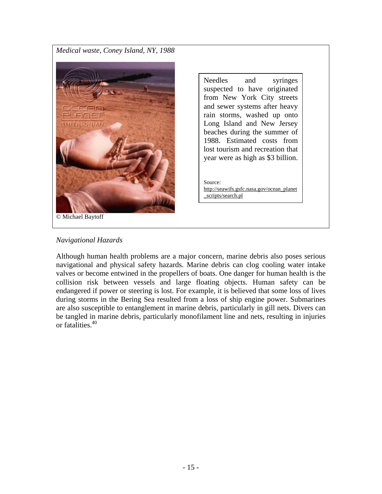*Medical waste, Coney Island, NY, 1988* 



Needles and syringes suspected to have originated from New York City streets and sewer systems after heavy rain storms, washed up onto Long Island and New Jersey beaches during the summer of 1988. Estimated costs from lost tourism and recreation that year were as high as \$3 billion.

Source: http://seawifs.gsfc.nasa.gov/ocean\_planet \_scripts/search.pl

#### *Navigational Hazards*

Although human health problems are a major concern, marine debris also poses serious navigational and physical safety hazards. Marine debris can clog cooling water intake valves or become entwined in the propellers of boats. One danger for human health is the collision risk between vessels and large floating objects. Human safety can be endangered if power or steering is lost. For example, it is believed that some loss of lives during storms in the Bering Sea resulted from a loss of ship engine power. Submarines are also susceptible to entanglement in marine debris, particularly in gill nets. Divers can be tangled in marine debris, particularly monofilament line and nets, resulting in injuries or fatalities.<sup>40</sup>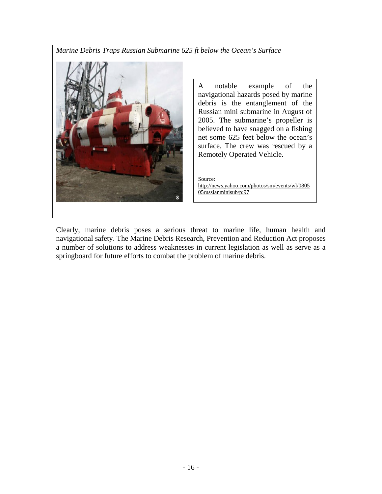*Marine Debris Traps Russian Submarine 625 ft below the Ocean's Surface* 



A notable example of the navigational hazards posed by marine debris is the entanglement of the Russian mini submarine in August of 2005. The submarine's propeller is believed to have snagged on a fishing net some 625 feet below the ocean's surface. The crew was rescued by a Remotely Operated Vehicle.

Source: http://news.yahoo.com/photos/sm/events/wl/0805 05russianminisub/p:97

Clearly, marine debris poses a serious threat to marine life, human health and navigational safety. The Marine Debris Research, Prevention and Reduction Act proposes a number of solutions to address weaknesses in current legislation as well as serve as a springboard for future efforts to combat the problem of marine debris.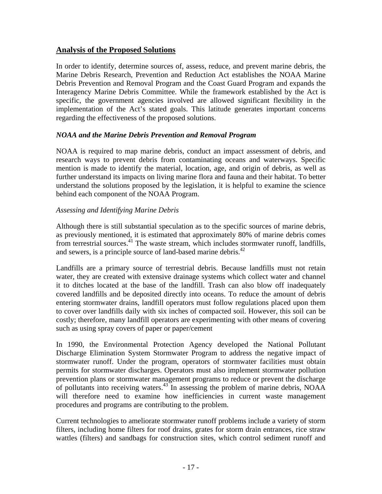# **Analysis of the Proposed Solutions**

In order to identify, determine sources of, assess, reduce, and prevent marine debris, the Marine Debris Research, Prevention and Reduction Act establishes the NOAA Marine Debris Prevention and Removal Program and the Coast Guard Program and expands the Interagency Marine Debris Committee. While the framework established by the Act is specific, the government agencies involved are allowed significant flexibility in the implementation of the Act's stated goals. This latitude generates important concerns regarding the effectiveness of the proposed solutions.

#### *NOAA and the Marine Debris Prevention and Removal Program*

NOAA is required to map marine debris, conduct an impact assessment of debris, and research ways to prevent debris from contaminating oceans and waterways. Specific mention is made to identify the material, location, age, and origin of debris, as well as further understand its impacts on living marine flora and fauna and their habitat. To better understand the solutions proposed by the legislation, it is helpful to examine the science behind each component of the NOAA Program.

#### *Assessing and Identifying Marine Debris*

Although there is still substantial speculation as to the specific sources of marine debris, as previously mentioned, it is estimated that approximately 80% of marine debris comes from terrestrial sources.<sup>41</sup> The waste stream, which includes stormwater runoff, landfills, and sewers, is a principle source of land-based marine debris.<sup> $42$ </sup>

Landfills are a primary source of terrestrial debris. Because landfills must not retain water, they are created with extensive drainage systems which collect water and channel it to ditches located at the base of the landfill. Trash can also blow off inadequately covered landfills and be deposited directly into oceans. To reduce the amount of debris entering stormwater drains, landfill operators must follow regulations placed upon them to cover over landfills daily with six inches of compacted soil. However, this soil can be costly; therefore, many landfill operators are experimenting with other means of covering such as using spray covers of paper or paper/cement

In 1990, the Environmental Protection Agency developed the National Pollutant Discharge Elimination System Stormwater Program to address the negative impact of stormwater runoff. Under the program, operators of stormwater facilities must obtain permits for stormwater discharges. Operators must also implement stormwater pollution prevention plans or stormwater management programs to reduce or prevent the discharge of pollutants into receiving waters. $43\text{ N}$  in assessing the problem of marine debris, NOAA will therefore need to examine how inefficiencies in current waste management procedures and programs are contributing to the problem.

Current technologies to ameliorate stormwater runoff problems include a variety of storm filters, including home filters for roof drains, grates for storm drain entrances, rice straw wattles (filters) and sandbags for construction sites, which control sediment runoff and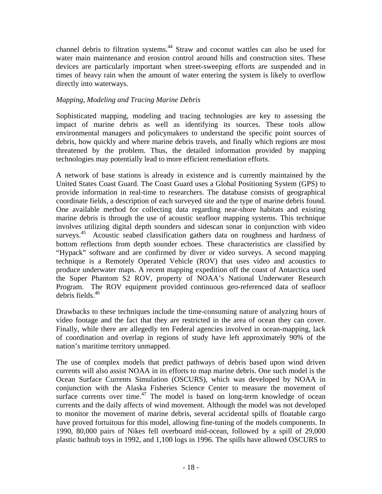channel debris to filtration systems.<sup>44</sup> Straw and coconut wattles can also be used for water main maintenance and erosion control around hills and construction sites. These devices are particularly important when street-sweeping efforts are suspended and in times of heavy rain when the amount of water entering the system is likely to overflow directly into waterways.

#### *Mapping, Modeling and Tracing Marine Debris*

Sophisticated mapping, modeling and tracing technologies are key to assessing the impact of marine debris as well as identifying its sources. These tools allow environmental managers and policymakers to understand the specific point sources of debris, how quickly and where marine debris travels, and finally which regions are most threatened by the problem. Thus, the detailed information provided by mapping technologies may potentially lead to more efficient remediation efforts.

A network of base stations is already in existence and is currently maintained by the United States Coast Guard. The Coast Guard uses a Global Positioning System (GPS) to provide information in real-time to researchers. The database consists of geographical coordinate fields, a description of each surveyed site and the type of marine debris found. One available method for collecting data regarding near-shore habitats and existing marine debris is through the use of acoustic seafloor mapping systems. This technique involves utilizing digital depth sounders and sidescan sonar in conjunction with video surveys.<sup>45</sup> Acoustic seabed classification gathers data on roughness and hardness of bottom reflections from depth sounder echoes. These characteristics are classified by "Hypack" software and are confirmed by diver or video surveys. A second mapping technique is a Remotely Operated Vehicle (ROV) that uses video and acoustics to produce underwater maps. A recent mapping expedition off the coast of Antarctica used the Super Phantom S2 ROV, property of NOAA's National Underwater Research Program. The ROV equipment provided continuous geo-referenced data of seafloor debris fields. $46$ 

Drawbacks to these techniques include the time-consuming nature of analyzing hours of video footage and the fact that they are restricted in the area of ocean they can cover. Finally, while there are allegedly ten Federal agencies involved in ocean-mapping, lack of coordination and overlap in regions of study have left approximately 90% of the nation's maritime territory unmapped.

The use of complex models that predict pathways of debris based upon wind driven currents will also assist NOAA in its efforts to map marine debris. One such model is the Ocean Surface Currents Simulation (OSCURS), which was developed by NOAA in conjunction with the Alaska Fisheries Science Center to measure the movement of surface currents over time.<sup>47</sup> The model is based on long-term knowledge of ocean currents and the daily affects of wind movement. Although the model was not developed to monitor the movement of marine debris, several accidental spills of floatable cargo have proved fortuitous for this model, allowing fine-tuning of the models components. In 1990, 80,000 pairs of Nikes fell overboard mid-ocean, followed by a spill of 29,000 plastic bathtub toys in 1992, and 1,100 logs in 1996. The spills have allowed OSCURS to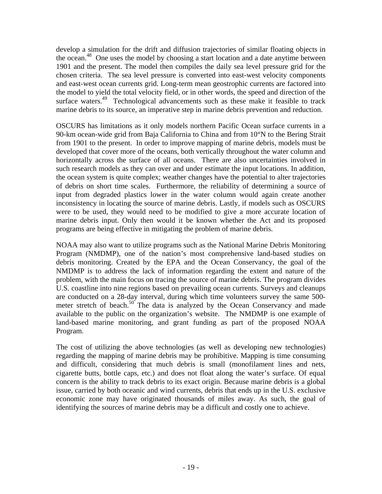develop a simulation for the drift and diffusion trajectories of similar floating objects in the ocean.<sup>48</sup> One uses the model by choosing a start location and a date anytime between 1901 and the present. The model then compiles the daily sea level pressure grid for the chosen criteria. The sea level pressure is converted into east-west velocity components and east-west ocean currents grid. Long-term mean geostrophic currents are factored into the model to yield the total velocity field, or in other words, the speed and direction of the surface waters.<sup>49</sup> Technological advancements such as these make it feasible to track marine debris to its source, an imperative step in marine debris prevention and reduction.

OSCURS has limitations as it only models northern Pacific Ocean surface currents in a 90-km ocean-wide grid from Baja California to China and from 10°N to the Bering Strait from 1901 to the present. In order to improve mapping of marine debris, models must be developed that cover more of the oceans, both vertically throughout the water column and horizontally across the surface of all oceans. There are also uncertainties involved in such research models as they can over and under estimate the input locations. In addition, the ocean system is quite complex; weather changes have the potential to alter trajectories of debris on short time scales. Furthermore, the reliability of determining a source of input from degraded plastics lower in the water column would again create another inconsistency in locating the source of marine debris. Lastly, if models such as OSCURS were to be used, they would need to be modified to give a more accurate location of marine debris input. Only then would it be known whether the Act and its proposed programs are being effective in mitigating the problem of marine debris.

NOAA may also want to utilize programs such as the National Marine Debris Monitoring Program (NMDMP), one of the nation's most comprehensive land-based studies on debris monitoring. Created by the EPA and the Ocean Conservancy, the goal of the NMDMP is to address the lack of information regarding the extent and nature of the problem, with the main focus on tracing the source of marine debris. The program divides U.S. coastline into nine regions based on prevailing ocean currents. Surveys and cleanups are conducted on a 28-day interval, during which time volunteers survey the same 500 meter stretch of beach. $50^\circ$  The data is analyzed by the Ocean Conservancy and made available to the public on the organization's website. The NMDMP is one example of land-based marine monitoring, and grant funding as part of the proposed NOAA Program.

The cost of utilizing the above technologies (as well as developing new technologies) regarding the mapping of marine debris may be prohibitive. Mapping is time consuming and difficult, considering that much debris is small (monofilament lines and nets, cigarette butts, bottle caps, etc.) and does not float along the water's surface. Of equal concern is the ability to track debris to its exact origin. Because marine debris is a global issue, carried by both oceanic and wind currents, debris that ends up in the U.S. exclusive economic zone may have originated thousands of miles away. As such, the goal of identifying the sources of marine debris may be a difficult and costly one to achieve.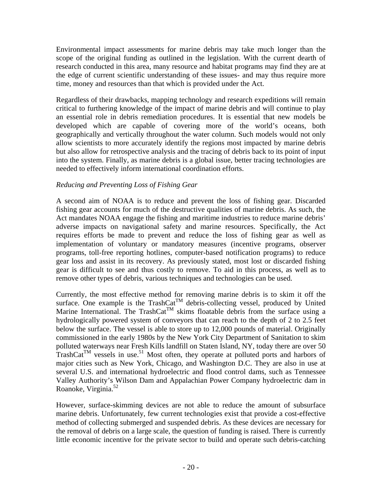Environmental impact assessments for marine debris may take much longer than the scope of the original funding as outlined in the legislation. With the current dearth of research conducted in this area, many resource and habitat programs may find they are at the edge of current scientific understanding of these issues- and may thus require more time, money and resources than that which is provided under the Act.

Regardless of their drawbacks, mapping technology and research expeditions will remain critical to furthering knowledge of the impact of marine debris and will continue to play an essential role in debris remediation procedures. It is essential that new models be developed which are capable of covering more of the world's oceans, both geographically and vertically throughout the water column. Such models would not only allow scientists to more accurately identify the regions most impacted by marine debris but also allow for retrospective analysis and the tracing of debris back to its point of input into the system. Finally, as marine debris is a global issue, better tracing technologies are needed to effectively inform international coordination efforts.

#### *Reducing and Preventing Loss of Fishing Gear*

A second aim of NOAA is to reduce and prevent the loss of fishing gear. Discarded fishing gear accounts for much of the destructive qualities of marine debris. As such, the Act mandates NOAA engage the fishing and maritime industries to reduce marine debris' adverse impacts on navigational safety and marine resources. Specifically, the Act requires efforts be made to prevent and reduce the loss of fishing gear as well as implementation of voluntary or mandatory measures (incentive programs, observer programs, toll-free reporting hotlines, computer-based notification programs) to reduce gear loss and assist in its recovery. As previously stated, most lost or discarded fishing gear is difficult to see and thus costly to remove. To aid in this process, as well as to remove other types of debris, various techniques and technologies can be used.

Currently, the most effective method for removing marine debris is to skim it off the surface. One example is the TrashCat<sup>TM</sup> debris-collecting vessel, produced by United Marine International. The TrashCat<sup>TM</sup> skims floatable debris from the surface using a hydrologically powered system of conveyors that can reach to the depth of 2 to 2.5 feet below the surface. The vessel is able to store up to 12,000 pounds of material. Originally commissioned in the early 1980s by the New York City Department of Sanitation to skim polluted waterways near Fresh Kills landfill on Staten Island, NY, today there are over 50 TrashCat<sup>TM</sup> vessels in use.<sup>51</sup> Most often, they operate at polluted ports and harbors of major cities such as New York, Chicago, and Washington D.C. They are also in use at several U.S. and international hydroelectric and flood control dams, such as Tennessee Valley Authority's Wilson Dam and Appalachian Power Company hydroelectric dam in Roanoke, Virginia.52

However, surface-skimming devices are not able to reduce the amount of subsurface marine debris. Unfortunately, few current technologies exist that provide a cost-effective method of collecting submerged and suspended debris. As these devices are necessary for the removal of debris on a large scale, the question of funding is raised. There is currently little economic incentive for the private sector to build and operate such debris-catching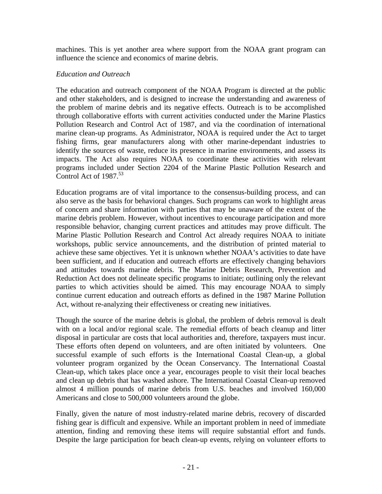machines. This is yet another area where support from the NOAA grant program can influence the science and economics of marine debris.

#### *Education and Outreach*

The education and outreach component of the NOAA Program is directed at the public and other stakeholders, and is designed to increase the understanding and awareness of the problem of marine debris and its negative effects. Outreach is to be accomplished through collaborative efforts with current activities conducted under the Marine Plastics Pollution Research and Control Act of 1987, and via the coordination of international marine clean-up programs. As Administrator, NOAA is required under the Act to target fishing firms, gear manufacturers along with other marine-dependant industries to identify the sources of waste, reduce its presence in marine environments, and assess its impacts. The Act also requires NOAA to coordinate these activities with relevant programs included under Section 2204 of the Marine Plastic Pollution Research and Control Act of  $1987<sup>53</sup>$ 

Education programs are of vital importance to the consensus-building process, and can also serve as the basis for behavioral changes. Such programs can work to highlight areas of concern and share information with parties that may be unaware of the extent of the marine debris problem. However, without incentives to encourage participation and more responsible behavior, changing current practices and attitudes may prove difficult. The Marine Plastic Pollution Research and Control Act already requires NOAA to initiate workshops, public service announcements, and the distribution of printed material to achieve these same objectives. Yet it is unknown whether NOAA's activities to date have been sufficient, and if education and outreach efforts are effectively changing behaviors and attitudes towards marine debris. The Marine Debris Research, Prevention and Reduction Act does not delineate specific programs to initiate; outlining only the relevant parties to which activities should be aimed. This may encourage NOAA to simply continue current education and outreach efforts as defined in the 1987 Marine Pollution Act, without re-analyzing their effectiveness or creating new initiatives.

Though the source of the marine debris is global, the problem of debris removal is dealt with on a local and/or regional scale. The remedial efforts of beach cleanup and litter disposal in particular are costs that local authorities and, therefore, taxpayers must incur. These efforts often depend on volunteers, and are often initiated by volunteers. One successful example of such efforts is the International Coastal Clean-up, a global volunteer program organized by the Ocean Conservancy. The International Coastal Clean-up, which takes place once a year, encourages people to visit their local beaches and clean up debris that has washed ashore. The International Coastal Clean-up removed almost 4 million pounds of marine debris from U.S. beaches and involved 160,000 Americans and close to 500,000 volunteers around the globe.

Finally, given the nature of most industry-related marine debris, recovery of discarded fishing gear is difficult and expensive. While an important problem in need of immediate attention, finding and removing these items will require substantial effort and funds. Despite the large participation for beach clean-up events, relying on volunteer efforts to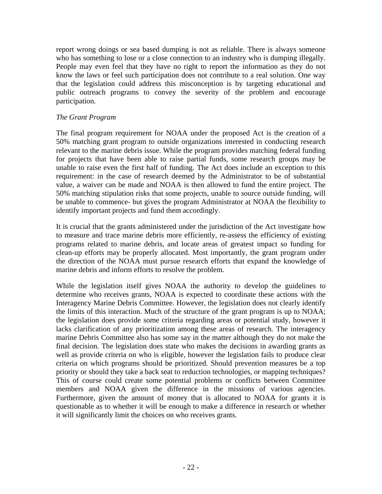report wrong doings or sea based dumping is not as reliable. There is always someone who has something to lose or a close connection to an industry who is dumping illegally. People may even feel that they have no right to report the information as they do not know the laws or feel such participation does not contribute to a real solution. One way that the legislation could address this misconception is by targeting educational and public outreach programs to convey the severity of the problem and encourage participation.

#### *The Grant Program*

The final program requirement for NOAA under the proposed Act is the creation of a 50% matching grant program to outside organizations interested in conducting research relevant to the marine debris issue. While the program provides matching federal funding for projects that have been able to raise partial funds, some research groups may be unable to raise even the first half of funding. The Act does include an exception to this requirement: in the case of research deemed by the Administrator to be of substantial value, a waiver can be made and NOAA is then allowed to fund the entire project. The 50% matching stipulation risks that some projects, unable to source outside funding, will be unable to commence- but gives the program Administrator at NOAA the flexibility to identify important projects and fund them accordingly.

It is crucial that the grants administered under the jurisdiction of the Act investigate how to measure and trace marine debris more efficiently, re-assess the efficiency of existing programs related to marine debris, and locate areas of greatest impact so funding for clean-up efforts may be properly allocated. Most importantly, the grant program under the direction of the NOAA must pursue research efforts that expand the knowledge of marine debris and inform efforts to resolve the problem.

While the legislation itself gives NOAA the authority to develop the guidelines to determine who receives grants, NOAA is expected to coordinate these actions with the Interagency Marine Debris Committee. However, the legislation does not clearly identify the limits of this interaction. Much of the structure of the grant program is up to NOAA; the legislation does provide some criteria regarding areas or potential study, however it lacks clarification of any prioritization among these areas of research. The interagency marine Debris Committee also has some say in the matter although they do not make the final decision. The legislation does state who makes the decisions in awarding grants as well as provide criteria on who is eligible, however the legislation fails to produce clear criteria on which programs should be prioritized. Should prevention measures be a top priority or should they take a back seat to reduction technologies, or mapping techniques? This of course could create some potential problems or conflicts between Committee members and NOAA given the difference in the missions of various agencies. Furthermore, given the amount of money that is allocated to NOAA for grants it is questionable as to whether it will be enough to make a difference in research or whether it will significantly limit the choices on who receives grants.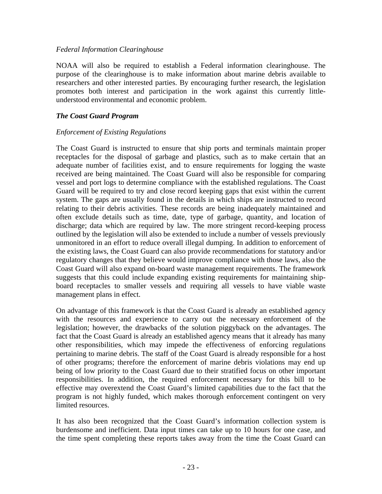#### *Federal Information Clearinghouse*

NOAA will also be required to establish a Federal information clearinghouse. The purpose of the clearinghouse is to make information about marine debris available to researchers and other interested parties. By encouraging further research, the legislation promotes both interest and participation in the work against this currently littleunderstood environmental and economic problem.

#### *The Coast Guard Program*

#### *Enforcement of Existing Regulations*

The Coast Guard is instructed to ensure that ship ports and terminals maintain proper receptacles for the disposal of garbage and plastics, such as to make certain that an adequate number of facilities exist, and to ensure requirements for logging the waste received are being maintained. The Coast Guard will also be responsible for comparing vessel and port logs to determine compliance with the established regulations. The Coast Guard will be required to try and close record keeping gaps that exist within the current system. The gaps are usually found in the details in which ships are instructed to record relating to their debris activities. These records are being inadequately maintained and often exclude details such as time, date, type of garbage, quantity, and location of discharge; data which are required by law. The more stringent record-keeping process outlined by the legislation will also be extended to include a number of vessels previously unmonitored in an effort to reduce overall illegal dumping. In addition to enforcement of the existing laws, the Coast Guard can also provide recommendations for statutory and/or regulatory changes that they believe would improve compliance with those laws, also the Coast Guard will also expand on-board waste management requirements. The framework suggests that this could include expanding existing requirements for maintaining shipboard receptacles to smaller vessels and requiring all vessels to have viable waste management plans in effect.

On advantage of this framework is that the Coast Guard is already an established agency with the resources and experience to carry out the necessary enforcement of the legislation; however, the drawbacks of the solution piggyback on the advantages. The fact that the Coast Guard is already an established agency means that it already has many other responsibilities, which may impede the effectiveness of enforcing regulations pertaining to marine debris. The staff of the Coast Guard is already responsible for a host of other programs; therefore the enforcement of marine debris violations may end up being of low priority to the Coast Guard due to their stratified focus on other important responsibilities. In addition, the required enforcement necessary for this bill to be effective may overextend the Coast Guard's limited capabilities due to the fact that the program is not highly funded, which makes thorough enforcement contingent on very limited resources.

It has also been recognized that the Coast Guard's information collection system is burdensome and inefficient. Data input times can take up to 10 hours for one case, and the time spent completing these reports takes away from the time the Coast Guard can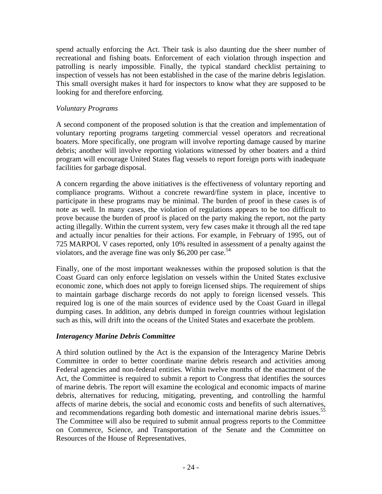spend actually enforcing the Act. Their task is also daunting due the sheer number of recreational and fishing boats. Enforcement of each violation through inspection and patrolling is nearly impossible. Finally, the typical standard checklist pertaining to inspection of vessels has not been established in the case of the marine debris legislation. This small oversight makes it hard for inspectors to know what they are supposed to be looking for and therefore enforcing.

#### *Voluntary Programs*

A second component of the proposed solution is that the creation and implementation of voluntary reporting programs targeting commercial vessel operators and recreational boaters. More specifically, one program will involve reporting damage caused by marine debris; another will involve reporting violations witnessed by other boaters and a third program will encourage United States flag vessels to report foreign ports with inadequate facilities for garbage disposal.

A concern regarding the above initiatives is the effectiveness of voluntary reporting and compliance programs. Without a concrete reward/fine system in place, incentive to participate in these programs may be minimal. The burden of proof in these cases is of note as well. In many cases, the violation of regulations appears to be too difficult to prove because the burden of proof is placed on the party making the report, not the party acting illegally. Within the current system, very few cases make it through all the red tape and actually incur penalties for their actions. For example, in February of 1995, out of 725 MARPOL V cases reported, only 10% resulted in assessment of a penalty against the violators, and the average fine was only \$6,200 per case.<sup>54</sup>

Finally, one of the most important weaknesses within the proposed solution is that the Coast Guard can only enforce legislation on vessels within the United States exclusive economic zone, which does not apply to foreign licensed ships. The requirement of ships to maintain garbage discharge records do not apply to foreign licensed vessels. This required log is one of the main sources of evidence used by the Coast Guard in illegal dumping cases. In addition, any debris dumped in foreign countries without legislation such as this, will drift into the oceans of the United States and exacerbate the problem.

#### *Interagency Marine Debris Committee*

A third solution outlined by the Act is the expansion of the Interagency Marine Debris Committee in order to better coordinate marine debris research and activities among Federal agencies and non-federal entities. Within twelve months of the enactment of the Act, the Committee is required to submit a report to Congress that identifies the sources of marine debris. The report will examine the ecological and economic impacts of marine debris, alternatives for reducing, mitigating, preventing, and controlling the harmful affects of marine debris, the social and economic costs and benefits of such alternatives, and recommendations regarding both domestic and international marine debris issues.<sup>55</sup> The Committee will also be required to submit annual progress reports to the Committee on Commerce, Science, and Transportation of the Senate and the Committee on Resources of the House of Representatives.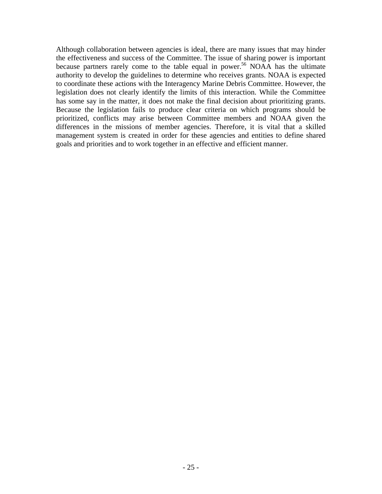Although collaboration between agencies is ideal, there are many issues that may hinder the effectiveness and success of the Committee. The issue of sharing power is important because partners rarely come to the table equal in power.<sup>56</sup> NOAA has the ultimate authority to develop the guidelines to determine who receives grants. NOAA is expected to coordinate these actions with the Interagency Marine Debris Committee. However, the legislation does not clearly identify the limits of this interaction. While the Committee has some say in the matter, it does not make the final decision about prioritizing grants. Because the legislation fails to produce clear criteria on which programs should be prioritized, conflicts may arise between Committee members and NOAA given the differences in the missions of member agencies. Therefore, it is vital that a skilled management system is created in order for these agencies and entities to define shared goals and priorities and to work together in an effective and efficient manner.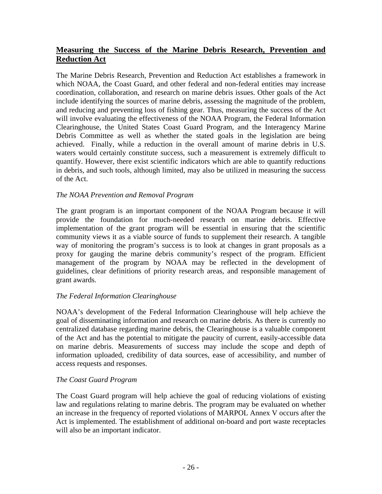# **Measuring the Success of the Marine Debris Research, Prevention and Reduction Act**

The Marine Debris Research, Prevention and Reduction Act establishes a framework in which NOAA, the Coast Guard, and other federal and non-federal entities may increase coordination, collaboration, and research on marine debris issues. Other goals of the Act include identifying the sources of marine debris, assessing the magnitude of the problem, and reducing and preventing loss of fishing gear. Thus, measuring the success of the Act will involve evaluating the effectiveness of the NOAA Program, the Federal Information Clearinghouse, the United States Coast Guard Program, and the Interagency Marine Debris Committee as well as whether the stated goals in the legislation are being achieved. Finally, while a reduction in the overall amount of marine debris in U.S. waters would certainly constitute success, such a measurement is extremely difficult to quantify. However, there exist scientific indicators which are able to quantify reductions in debris, and such tools, although limited, may also be utilized in measuring the success of the Act.

# *The NOAA Prevention and Removal Program*

The grant program is an important component of the NOAA Program because it will provide the foundation for much-needed research on marine debris. Effective implementation of the grant program will be essential in ensuring that the scientific community views it as a viable source of funds to supplement their research. A tangible way of monitoring the program's success is to look at changes in grant proposals as a proxy for gauging the marine debris community's respect of the program. Efficient management of the program by NOAA may be reflected in the development of guidelines, clear definitions of priority research areas, and responsible management of grant awards.

# *The Federal Information Clearinghouse*

NOAA's development of the Federal Information Clearinghouse will help achieve the goal of disseminating information and research on marine debris. As there is currently no centralized database regarding marine debris, the Clearinghouse is a valuable component of the Act and has the potential to mitigate the paucity of current, easily-accessible data on marine debris. Measurements of success may include the scope and depth of information uploaded, credibility of data sources, ease of accessibility, and number of access requests and responses.

#### *The Coast Guard Program*

The Coast Guard program will help achieve the goal of reducing violations of existing law and regulations relating to marine debris. The program may be evaluated on whether an increase in the frequency of reported violations of MARPOL Annex V occurs after the Act is implemented. The establishment of additional on-board and port waste receptacles will also be an important indicator.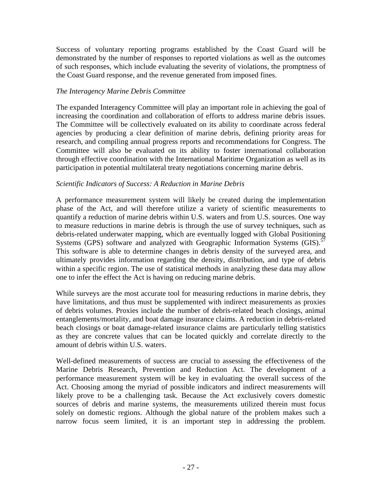Success of voluntary reporting programs established by the Coast Guard will be demonstrated by the number of responses to reported violations as well as the outcomes of such responses, which include evaluating the severity of violations, the promptness of the Coast Guard response, and the revenue generated from imposed fines.

#### *The Interagency Marine Debris Committee*

The expanded Interagency Committee will play an important role in achieving the goal of increasing the coordination and collaboration of efforts to address marine debris issues. The Committee will be collectively evaluated on its ability to coordinate across federal agencies by producing a clear definition of marine debris, defining priority areas for research, and compiling annual progress reports and recommendations for Congress. The Committee will also be evaluated on its ability to foster international collaboration through effective coordination with the International Maritime Organization as well as its participation in potential multilateral treaty negotiations concerning marine debris.

# *Scientific Indicators of Success: A Reduction in Marine Debris*

A performance measurement system will likely be created during the implementation phase of the Act, and will therefore utilize a variety of scientific measurements to quantify a reduction of marine debris within U.S. waters and from U.S. sources. One way to measure reductions in marine debris is through the use of survey techniques, such as debris-related underwater mapping, which are eventually logged with Global Positioning Systems (GPS) software and analyzed with Geographic Information Systems (GIS).<sup>57</sup> This software is able to determine changes in debris density of the surveyed area, and ultimately provides information regarding the density, distribution, and type of debris within a specific region. The use of statistical methods in analyzing these data may allow one to infer the effect the Act is having on reducing marine debris.

While surveys are the most accurate tool for measuring reductions in marine debris, they have limitations, and thus must be supplemented with indirect measurements as proxies of debris volumes. Proxies include the number of debris-related beach closings, animal entanglements/mortality, and boat damage insurance claims. A reduction in debris-related beach closings or boat damage-related insurance claims are particularly telling statistics as they are concrete values that can be located quickly and correlate directly to the amount of debris within U.S. waters.

Well-defined measurements of success are crucial to assessing the effectiveness of the Marine Debris Research, Prevention and Reduction Act. The development of a performance measurement system will be key in evaluating the overall success of the Act. Choosing among the myriad of possible indicators and indirect measurements will likely prove to be a challenging task. Because the Act exclusively covers domestic sources of debris and marine systems, the measurements utilized therein must focus solely on domestic regions. Although the global nature of the problem makes such a narrow focus seem limited, it is an important step in addressing the problem.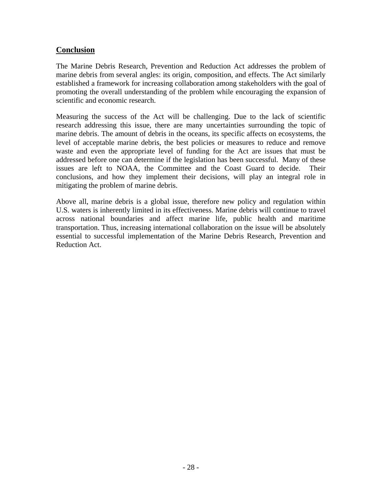# **Conclusion**

The Marine Debris Research, Prevention and Reduction Act addresses the problem of marine debris from several angles: its origin, composition, and effects. The Act similarly established a framework for increasing collaboration among stakeholders with the goal of promoting the overall understanding of the problem while encouraging the expansion of scientific and economic research.

Measuring the success of the Act will be challenging. Due to the lack of scientific research addressing this issue, there are many uncertainties surrounding the topic of marine debris. The amount of debris in the oceans, its specific affects on ecosystems, the level of acceptable marine debris, the best policies or measures to reduce and remove waste and even the appropriate level of funding for the Act are issues that must be addressed before one can determine if the legislation has been successful. Many of these issues are left to NOAA, the Committee and the Coast Guard to decide. Their conclusions, and how they implement their decisions, will play an integral role in mitigating the problem of marine debris.

Above all, marine debris is a global issue, therefore new policy and regulation within U.S. waters is inherently limited in its effectiveness. Marine debris will continue to travel across national boundaries and affect marine life, public health and maritime transportation. Thus, increasing international collaboration on the issue will be absolutely essential to successful implementation of the Marine Debris Research, Prevention and Reduction Act.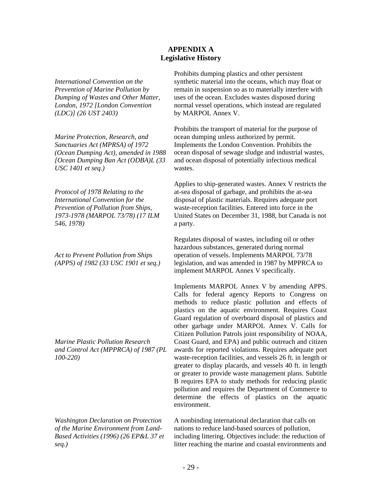#### **APPENDIX A Legislative History**

*International Convention on the Prevention of Marine Pollution by Dumping of Wastes and Other Matter, London, 1972 [London Convention (LDC)] (26 UST 2403)*

*Marine Protection, Research, and Sanctuaries Act (MPRSA) of 1972 (Ocean Dumping Act), amended in 1988 [Ocean Dumping Ban Act (ODBA)L (33 USC 1401 et seq.)*

*Protocol of 1978 Relating to the International Convention for the Prevention of Pollution from Ships, 1973-1978 (MARPOL 73/78) (17 ILM 546, 1978)*

*Act to Prevent Pollution from Ships (APPS) of 1982 (33 USC 1901 et seq.)*

*Marine Plastic Pollution Research and Control Act (MPPRCA) of 1987 (PL 100-220)*

*Washington Declaration on Protection of the Marine Environment from Land-Based Activities (1996) (26 EP&L 37 et seq.)* 

Prohibits dumping plastics and other persistent synthetic material into the oceans, which may float or remain in suspension so as to materially interfere with uses of the ocean. Excludes wastes disposed during normal vessel operations, which instead are regulated by MARPOL Annex V.

Prohibits the transport of material for the purpose of ocean dumping unless authorized by permit. Implements the London Convention. Prohibits the ocean disposal of sewage sludge and industrial wastes, and ocean disposal of potentially infectious medical wastes.

Applies to ship-generated wastes. Annex V restricts the at-sea disposal of garbage, and prohibits the at-sea disposal of plastic materials. Requires adequate port waste-reception facilities. Entered into force in the United States on December 31, 1988, but Canada is not a party.

Regulates disposal of wastes, including oil or other hazardous substances, generated during normal operation of vessels. Implements MARPOL 73/78 legislation, and was amended in 1987 by MPPRCA to implement MARPOL Annex V specifically.

Implements MARPOL Annex V by amending APPS. Calls for federal agency Reports to Congress on methods to reduce plastic pollution and effects of plastics on the aquatic environment. Requires Coast Guard regulation of overboard disposal of plastics and other garbage under MARPOL Annex V. Calls for Citizen Pollution Patrols joint responsibility of NOAA, Coast Guard, and EPA) and public outreach and citizen awards for reported violations. Requires adequate port waste-reception facilities, and vessels 26 ft. in length or greater to display placards, and vessels 40 ft. in length or greater to provide waste management plans. Subtitle B requires EPA to study methods for reducing plastic pollution and requires the Department of Commerce to determine the effects of plastics on the aquatic environment.

A nonbinding international declaration that calls on nations to reduce land-based sources of pollution, including littering. Objectives include: the reduction of litter reaching the marine and coastal environments and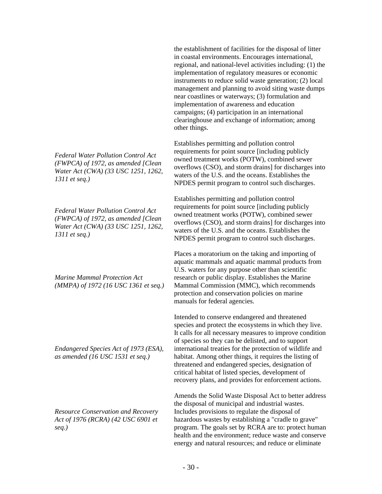*Federal Water Pollution Control Act (FWPCA) of 1972, as amended [Clean Water Act (CWA) (33 USC 1251, 1262, 1311 et seq.)*

*Federal Water Pollution Control Act (FWPCA) of 1972, as amended [Clean Water Act (CWA) (33 USC 1251, 1262, 1311 et seq.)*

*Marine Mammal Protection Act (MMPA) of 1972 (16 USC 1361 et seq.)*

*Endangered Species Act of 1973 (ESA), as amended (16 USC 1531 et seq.)*

*Resource Conservation and Recovery Act of 1976 (RCRA) (42 USC 6901 et seq.)*

the establishment of facilities for the disposal of litter in coastal environments. Encourages international, regional, and national-level activities including: (1) the implementation of regulatory measures or economic instruments to reduce solid waste generation; (2) local management and planning to avoid siting waste dumps near coastlines or waterways; (3) formulation and implementation of awareness and education campaigns; (4) participation in an international clearinghouse and exchange of information; among other things.

Establishes permitting and pollution control requirements for point source [including publicly owned treatment works (POTW), combined sewer overflows (CSO), and storm drains] for discharges into waters of the U.S. and the oceans. Establishes the NPDES permit program to control such discharges.

Establishes permitting and pollution control requirements for point source [including publicly owned treatment works (POTW), combined sewer overflows (CSO), and storm drains] for discharges into waters of the U.S. and the oceans. Establishes the NPDES permit program to control such discharges.

Places a moratorium on the taking and importing of aquatic mammals and aquatic mammal products from U.S. waters for any purpose other than scientific research or public display. Establishes the Marine Mammal Commission (MMC), which recommends protection and conservation policies on marine manuals for federal agencies.

Intended to conserve endangered and threatened species and protect the ecosystems in which they live. It calls for all necessary measures to improve condition of species so they can be delisted, and to support international treaties for the protection of wildlife and habitat. Among other things, it requires the listing of threatened and endangered species, designation of critical habitat of listed species, development of recovery plans, and provides for enforcement actions.

Amends the Solid Waste Disposal Act to better address the disposal of municipal and industrial wastes. Includes provisions to regulate the disposal of hazardous wastes by establishing a "cradle to grave" program. The goals set by RCRA are to: protect human health and the environment; reduce waste and conserve energy and natural resources; and reduce or eliminate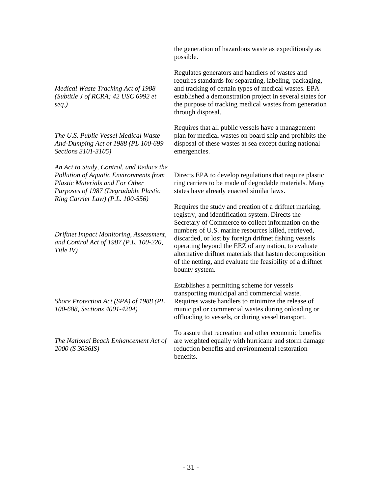*Medical Waste Tracking Act of 1988 (Subtitle J of RCRA; 42 USC 6992 et seq.)*

*The U.S. Public Vessel Medical Waste And-Dumping Act of 1988 (PL 100-699 Sections 3101-3105)*

*An Act to Study, Control, and Reduce the Pollution of Aquatic Environments from Plastic Materials and For Other Purposes of 1987 (Degradable Plastic Ring Carrier Law) (P.L. 100-556)*

*Driftnet Impact Monitoring, Assessment, and Control Act of 1987 (P.L. 100-220, Title IV)*

*Shore Protection Act (SPA) of 1988 (PL 100-688, Sections 4001-4204)*

*The National Beach Enhancement Act of 2000 (S 3036IS)* 

the generation of hazardous waste as expeditiously as possible.

Regulates generators and handlers of wastes and requires standards for separating, labeling, packaging, and tracking of certain types of medical wastes. EPA established a demonstration project in several states for the purpose of tracking medical wastes from generation through disposal.

Requires that all public vessels have a management plan for medical wastes on board ship and prohibits the disposal of these wastes at sea except during national emergencies.

Directs EPA to develop regulations that require plastic ring carriers to be made of degradable materials. Many states have already enacted similar laws.

Requires the study and creation of a driftnet marking, registry, and identification system. Directs the Secretary of Commerce to collect information on the numbers of U.S. marine resources killed, retrieved, discarded, or lost by foreign driftnet fishing vessels operating beyond the EEZ of any nation, to evaluate alternative driftnet materials that hasten decomposition of the netting, and evaluate the feasibility of a driftnet bounty system.

Establishes a permitting scheme for vessels transporting municipal and commercial waste. Requires waste handlers to minimize the release of municipal or commercial wastes during onloading or offloading to vessels, or during vessel transport.

To assure that recreation and other economic benefits are weighted equally with hurricane and storm damage reduction benefits and environmental restoration benefits.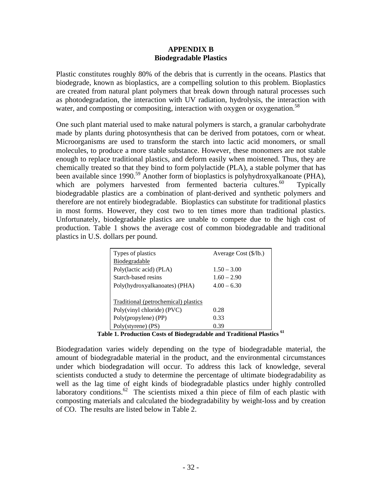#### **APPENDIX B Biodegradable Plastics**

Plastic constitutes roughly 80% of the debris that is currently in the oceans. Plastics that biodegrade, known as bioplastics, are a compelling solution to this problem. Bioplastics are created from natural plant polymers that break down through natural processes such as photodegradation, the interaction with UV radiation, hydrolysis, the interaction with water, and composting or compositing, interaction with oxygen or oxygenation.<sup>58</sup>

One such plant material used to make natural polymers is starch, a granular carbohydrate made by plants during photosynthesis that can be derived from potatoes, corn or wheat. Microorganisms are used to transform the starch into lactic acid monomers, or small molecules, to produce a more stable substance. However, these monomers are not stable enough to replace traditional plastics, and deform easily when moistened. Thus, they are chemically treated so that they bind to form polylactide (PLA), a stable polymer that has been available since 1990.<sup>59</sup> Another form of bioplastics is polyhydroxyalkanoate (PHA), which are polymers harvested from fermented bacteria cultures.<sup>60</sup> Typically biodegradable plastics are a combination of plant-derived and synthetic polymers and therefore are not entirely biodegradable. Bioplastics can substitute for traditional plastics in most forms. However, they cost two to ten times more than traditional plastics. Unfortunately, biodegradable plastics are unable to compete due to the high cost of production. Table 1 shows the average cost of common biodegradable and traditional plastics in U.S. dollars per pound.

| Types of plastics                    | Average Cost (\$/lb.) |
|--------------------------------------|-----------------------|
| Biodegradable                        |                       |
| Poly(lactic acid) (PLA)              | $1.50 - 3.00$         |
| Starch-based resins                  | $1.60 - 2.90$         |
| Poly(hydroxyalkanoates) (PHA)        | $4.00 - 6.30$         |
|                                      |                       |
| Traditional (petrochemical) plastics |                       |
| Poly(vinyl chloride) (PVC)           | 0.28                  |
| Poly(propylene) (PP)                 | 0.33                  |
| Poly(styrene) (PS)                   | 0.39                  |

**Table 1. Production Costs of Biodegradable and Traditional Plastics <sup>61</sup>**

Biodegradation varies widely depending on the type of biodegradable material, the amount of biodegradable material in the product, and the environmental circumstances under which biodegradation will occur. To address this lack of knowledge, several scientists conducted a study to determine the percentage of ultimate biodegradability as well as the lag time of eight kinds of biodegradable plastics under highly controlled laboratory conditions.<sup>62</sup> The scientists mixed a thin piece of film of each plastic with composting materials and calculated the biodegradability by weight-loss and by creation of CO. The results are listed below in Table 2.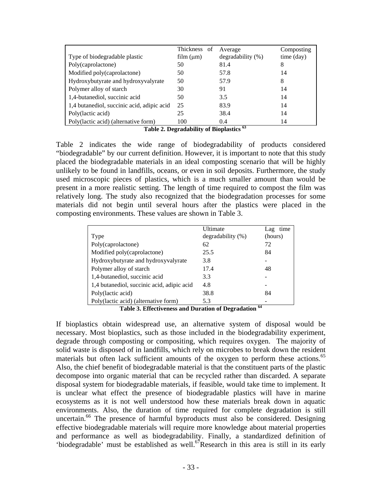|                                            | Thickness of | Average                | Composting |
|--------------------------------------------|--------------|------------------------|------------|
| Type of biodegradable plastic              | film (µm)    | $degradability$ $(\%)$ | time (day) |
| Poly(caprolactone)                         | 50           | 81.4                   | 8          |
| Modified poly(caprolactone)                | 50           | 57.8                   | 14         |
| Hydroxybutyrate and hydroxyvalyrate        | 50           | 57.9                   | 8          |
| Polymer alloy of starch                    | 30           | 91                     | 14         |
| 1,4-butanediol, succinic acid              | 50           | 3.5                    | 14         |
| 1,4 butanediol, succinic acid, adipic acid | 25           | 83.9                   | 14         |
| Poly(lactic acid)                          | 25           | 38.4                   | 14         |
| Poly(lactic acid) (alternative form)       | 100          | 0.4                    | 14         |

**Table 2. Degradability of Bioplastics 63**

Table 2 indicates the wide range of biodegradability of products considered "biodegradable" by our current definition. However, it is important to note that this study placed the biodegradable materials in an ideal composting scenario that will be highly unlikely to be found in landfills, oceans, or even in soil deposits. Furthermore, the study used microscopic pieces of plastics, which is a much smaller amount than would be present in a more realistic setting. The length of time required to compost the film was relatively long. The study also recognized that the biodegradation processes for some materials did not begin until several hours after the plastics were placed in the composting environments. These values are shown in Table 3.

|                                            | Ultimate               | time<br>Lag             |
|--------------------------------------------|------------------------|-------------------------|
| Type                                       | $degradability$ $(\%)$ | (hours)                 |
| Poly(caprolactone)                         | 62                     | 72                      |
| Modified poly(caprolactone)                | 25.5                   | 84                      |
| Hydroxybutyrate and hydroxyvalyrate        | 3.8                    |                         |
| Polymer alloy of starch                    | 17.4                   | 48                      |
| 1,4-butanediol, succinic acid              | 3.3                    |                         |
| 1,4 butanediol, succinic acid, adipic acid | 4.8                    |                         |
| Poly(lactic acid)                          | 38.8                   | 84                      |
| Poly(lactic acid) (alternative form)       | 5.3                    |                         |
|                                            |                        | $\epsilon$ <sub>A</sub> |

**Table 3. Effectiveness and Duration of Degradation 64**

If bioplastics obtain widespread use, an alternative system of disposal would be necessary. Most bioplastics, such as those included in the biodegradability experiment, degrade through composting or compositing, which requires oxygen. The majority of solid waste is disposed of in landfills, which rely on microbes to break down the resident materials but often lack sufficient amounts of the oxygen to perform these actions.<sup>65</sup> Also, the chief benefit of biodegradable material is that the constituent parts of the plastic decompose into organic material that can be recycled rather than discarded. A separate disposal system for biodegradable materials, if feasible, would take time to implement. It is unclear what effect the presence of biodegradable plastics will have in marine ecosystems as it is not well understood how these materials break down in aquatic environments. Also, the duration of time required for complete degradation is still uncertain.<sup>66</sup> The presence of harmful byproducts must also be considered. Designing effective biodegradable materials will require more knowledge about material properties and performance as well as biodegradability. Finally, a standardized definition of 'biodegradable' must be established as well.<sup>67</sup>Research in this area is still in its early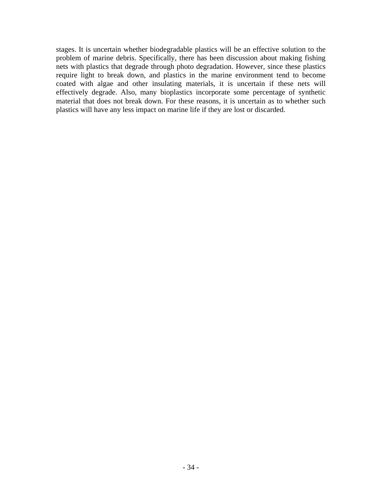stages. It is uncertain whether biodegradable plastics will be an effective solution to the problem of marine debris. Specifically, there has been discussion about making fishing nets with plastics that degrade through photo degradation. However, since these plastics require light to break down, and plastics in the marine environment tend to become coated with algae and other insulating materials, it is uncertain if these nets will effectively degrade. Also, many bioplastics incorporate some percentage of synthetic material that does not break down. For these reasons, it is uncertain as to whether such plastics will have any less impact on marine life if they are lost or discarded.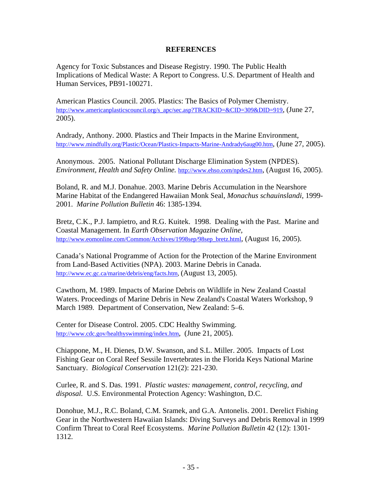#### **REFERENCES**

Agency for Toxic Substances and Disease Registry. 1990. The Public Health Implications of Medical Waste: A Report to Congress. U.S. Department of Health and Human Services, PB91-100271.

American Plastics Council. 2005. Plastics: The Basics of Polymer Chemistry. http://www.americanplasticscouncil.org/s\_apc/sec.asp?TRACKID=&CID=309&DID=919, (June 27, 2005).

Andrady, Anthony. 2000. Plastics and Their Impacts in the Marine Environment, http://www.mindfully.org/Plastic/Ocean/Plastics-Impacts-Marine-Andrady6aug00.htm, (June 27, 2005).

Anonymous. 2005. National Pollutant Discharge Elimination System (NPDES). *Environment, Health and Safety Online.* http://www.ehso.com/npdes2.htm, (August 16, 2005).

Boland, R. and M.J. Donahue. 2003. Marine Debris Accumulation in the Nearshore Marine Habitat of the Endangered Hawaiian Monk Seal, *Monachus schauinslandi,* 1999- 2001. *Marine Pollution Bulletin* 46: 1385-1394.

Bretz, C.K., P.J. Iampietro, and R.G. Kuitek. 1998. Dealing with the Past. Marine and Coastal Management. In *Earth Observation Magazine Online,*  http://www.eomonline.com/Common/Archives/1998sep/98sep\_bretz.html, (August 16, 2005).

Canada's National Programme of Action for the Protection of the Marine Environment from Land-Based Activities (NPA). 2003. Marine Debris in Canada. http://www.ec.gc.ca/marine/debris/eng/facts.htm, (August 13, 2005).

Cawthorn, M. 1989. Impacts of Marine Debris on Wildlife in New Zealand Coastal Waters. Proceedings of Marine Debris in New Zealand's Coastal Waters Workshop, 9 March 1989*.* Department of Conservation, New Zealand: 5–6.

Center for Disease Control. 2005. CDC Healthy Swimming. http://www.cdc.gov/healthyswimming/index.htm, (June 21, 2005).

Chiappone, M., H. Dienes, D.W. Swanson, and S.L. Miller. 2005. Impacts of Lost Fishing Gear on Coral Reef Sessile Invertebrates in the Florida Keys National Marine Sanctuary. *Biological Conservation* 121(2): 221-230.

Curlee, R. and S. Das. 1991. *Plastic wastes: management, control, recycling, and disposal.* U.S. Environmental Protection Agency: Washington, D.C.

Donohue, M.J., R.C. Boland, C.M. Sramek, and G.A. Antonelis. 2001. Derelict Fishing Gear in the Northwestern Hawaiian Islands: Diving Surveys and Debris Removal in 1999 Confirm Threat to Coral Reef Ecosystems. *Marine Pollution Bulletin* 42 (12): 1301- 1312.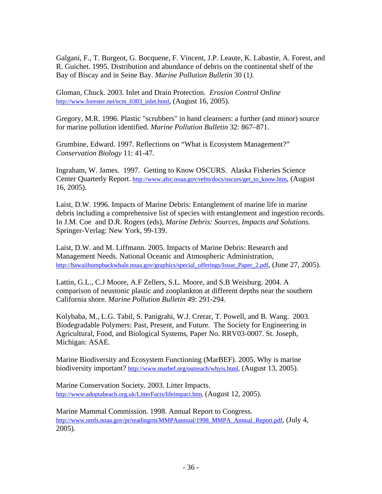Galgani, F., T. Burgeot, G. Bocquene, F. Vincent, J.P. Leaute, K. Labastie, A. Forest, and R. Guichet. 1995. Distribution and abundance of debris on the continental shelf of the Bay of Biscay and in Seine Bay*. Marine Pollution Bulletin* 30 (1*).*

Gloman, Chuck. 2003. Inlet and Drain Protection. *Erosion Control Online*  http://www.forester.net/ecm\_0303\_inlet.html, (August 16, 2005).

Gregory, M.R. 1996. Plastic "scrubbers" in hand cleansers: a further (and minor) source for marine pollution identified. *Marine Pollution Bulletin* 32: 867–871.

Grumbine, Edward. 1997. Reflections on "What is Ecosystem Management?" *Conservation Biology* 11: 41-47.

Ingraham, W. James. 1997. Getting to Know OSCURS. Alaska Fisheries Science Center Quarterly Report. http://www.afsc.noaa.gov/refm/docs/oscurs/get\_to\_know.htm, (August 16, 2005).

Laist, D.W. 1996. Impacts of Marine Debris: Entanglement of marine life in marine debris including a comprehensive list of species with entanglement and ingestion records. In J.M. Coe and D.R. Rogers (eds), *Marine Debris: Sources, Impacts and Solutions.*  Springer-Verlag: New York, 99-139.

Laist, D.W. and M. Liffmann. 2005. Impacts of Marine Debris: Research and Management Needs. National Oceanic and Atmospheric Administration, http://hawaiihumpbackwhale.noaa.gov/graphics/special\_offerings/Issue\_Paper\_2.pdf, (June 27, 2005).

Lattin, G.L., C.J Moore, A.F Zellers, S.L. Moore, and S.B Weisburg. 2004. A comparison of neustonic plastic and zooplankton at different depths near the southern California shore. *Marine Pollution Bulletin* 49: 291-294.

Kolybaba, M., L.G. Tabil, S. Panigrahi, W.J. Crerar, T. Powell, and B. Wang. 2003. Biodegradable Polymers: Past, Present, and Future. The Society for Engineering in Agricultural, Food, and Biological Systems, Paper No. RRV03-0007. St. Joseph, Michigan: ASAE.

Marine Biodiversity and Ecosystem Functioning (MarBEF). 2005. Why is marine biodiversity important? http://www.marbef.org/outreach/whyis.html, (August 13, 2005).

Marine Conservation Society. 2003. Litter Impacts. http://www.adoptabeach.org.uk/LitterFacts/lifeimpact.htm, (August 12, 2005).

Marine Mammal Commission. 1998. Annual Report to Congress. http://www.nmfs.noaa.gov/pr/readingrm/MMPAannual/1998\_MMPA\_Annual\_Report.pdf, (July 4, 2005).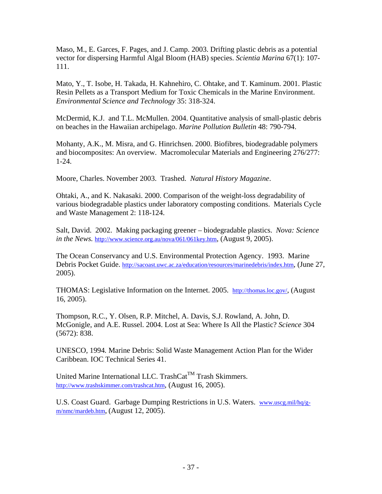Maso, M., E. Garces, F. Pages, and J. Camp. 2003. Drifting plastic debris as a potential vector for dispersing Harmful Algal Bloom (HAB) species. *Scientia Marina* 67(1): 107- 111.

Mato, Y., T. Isobe, H. Takada, H. Kahnehiro, C. Ohtake, and T. Kaminum. 2001. Plastic Resin Pellets as a Transport Medium for Toxic Chemicals in the Marine Environment. *Environmental Science and Technology* 35: 318-324.

McDermid, K.J. and T.L. McMullen. 2004. Quantitative analysis of small-plastic debris on beaches in the Hawaiian archipelago. *Marine Pollution Bulletin* 48: 790-794.

Mohanty, A.K., M. Misra, and G. Hinrichsen. 2000. Biofibres, biodegradable polymers and biocomposites: An overview. Macromolecular Materials and Engineering 276/277: 1-24.

Moore, Charles. November 2003. Trashed. *Natural History Magazine*.

Ohtaki, A., and K. Nakasaki. 2000. Comparison of the weight-loss degradability of various biodegradable plastics under laboratory composting conditions. Materials Cycle and Waste Management 2: 118-124.

Salt, David. 2002. Making packaging greener – biodegradable plastics. *Nova: Science in the News.* http://www.science.org.au/nova/061/061key.htm, (August 9, 2005).

The Ocean Conservancy and U.S. Environmental Protection Agency. 1993. Marine Debris Pocket Guide. http://sacoast.uwc.ac.za/education/resources/marinedebris/index.htm, (June 27, 2005).

THOMAS: Legislative Information on the Internet. 2005. http://thomas.loc.gov/, (August 16, 2005).

Thompson, R.C., Y. Olsen, R.P. Mitchel, A. Davis, S.J. Rowland, A. John, D. McGonigle, and A.E. Russel. 2004. Lost at Sea: Where Is All the Plastic? *Science* 304 (5672): 838.

UNESCO, 1994*.* Marine Debris: Solid Waste Management Action Plan for the Wider Caribbean. IOC Technical Series 41.

United Marine International LLC. TrashCat<sup>TM</sup> Trash Skimmers. http://www.trashskimmer.com/trashcat.htm, (August 16, 2005).

U.S. Coast Guard. Garbage Dumping Restrictions in U.S. Waters. www.uscg.mil/hq/gm/nmc/mardeb.htm, (August 12, 2005).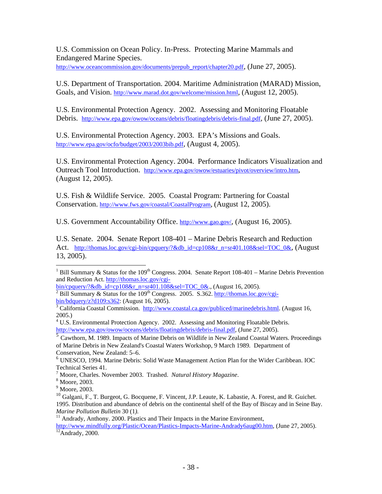U.S. Commission on Ocean Policy. In-Press. Protecting Marine Mammals and Endangered Marine Species.

http://www.oceancommission.gov/documents/prepub\_report/chapter20.pdf, (June 27, 2005).

U.S. Department of Transportation. 2004. Maritime Administration (MARAD) Mission, Goals, and Vision. http://www.marad.dot.gov/welcome/mission.html, (August 12, 2005).

U.S. Environmental Protection Agency. 2002. Assessing and Monitoring Floatable Debris. http://www.epa.gov/owow/oceans/debris/floatingdebris/debris-final.pdf, (June 27, 2005).

U.S. Environmental Protection Agency. 2003. EPA's Missions and Goals. http://www.epa.gov/ocfo/budget/2003/2003bib.pdf, (August 4, 2005).

U.S. Environmental Protection Agency. 2004. Performance Indicators Visualization and Outreach Tool Introduction. http://www.epa.gov/owow/estuaries/pivot/overview/intro.htm, (August 12, 2005).

U.S. Fish & Wildlife Service. 2005. Coastal Program: Partnering for Coastal Conservation. http://www.fws.gov/coastal/CoastalProgram, (August 12, 2005).

U.S. Government Accountability Office. http://www.gao.gov/, (August 16, 2005).

U.S. Senate. 2004. Senate Report 108-401 – Marine Debris Research and Reduction Act. http://thomas.loc.gov/cgi-bin/cpquery/?&db id=cp108&r n=sr401.108&sel=TOC\_0&, (August 13, 2005).

 $\overline{\phantom{a}}$ 

<sup>&</sup>lt;sup>1</sup> Bill Summary & Status for the 109<sup>th</sup> Congress. 2004. Senate Report 108-401 – Marine Debris Prevention and Reduction Act. http://thomas.loc.gov/cgi-

 $\frac{\text{bin/cpquery}/\text{&db}}{\text{id-cp108&r} \text{ n=sr401.108&sel=TOC_0&.}$ , (August 16, 2005).

 $\frac{1}{2}$  Bill Summary & Status for the 109<sup>th</sup> Congress. 2005. S.362. http://thomas.loc.gov/cgi $bin/bdquery/z?d109:s362$ : (August 16, 2005).

<sup>&</sup>lt;sup>3</sup> California Coastal Commission. http://www.coastal.ca.gov/publiced/marinedebris.html. (August 16, 2005.)

<sup>&</sup>lt;sup>4</sup> U.S. Environmental Protection Agency. 2002. Assessing and Monitoring Floatable Debris. http://www.epa.gov/owow/oceans/debris/floatingdebris/debris-final.pdf, (June 27, 2005).

<sup>&</sup>lt;sup>5</sup> Cawthorn, M. 1989. Impacts of Marine Debris on Wildlife in New Zealand Coastal Waters. Proceedings of Marine Debris in New Zealand's Coastal Waters Workshop, 9 March 1989*.* Department of Conservation, New Zealand: 5–6.

<sup>6</sup> UNESCO, 1994*.* Marine Debris: Solid Waste Management Action Plan for the Wider Caribbean. IOC Technical Series 41.

<sup>&</sup>lt;sup>7</sup> Moore, Charles. November 2003. Trashed. *Natural History Magazine*.

Moore, 2003.

<sup>9</sup> Moore, 2003.

<sup>&</sup>lt;sup>10</sup> Galgani, F., T. Burgeot, G. Bocquene, F. Vincent, J.P. Leaute, K. Labastie, A. Forest, and R. Guichet. 1995. Distribution and abundance of debris on the continental shelf of the Bay of Biscay and in Seine Bay*.* 

<sup>&</sup>lt;sup>11</sup> Andrady, Anthony. 2000. Plastics and Their Impacts in the Marine Environment,

http://www.mindfully.org/Plastic/Ocean/Plastics-Impacts-Marine-Andrady6aug00.htm, (June 27, 2005).<br><sup>12</sup>Andrady, 2000.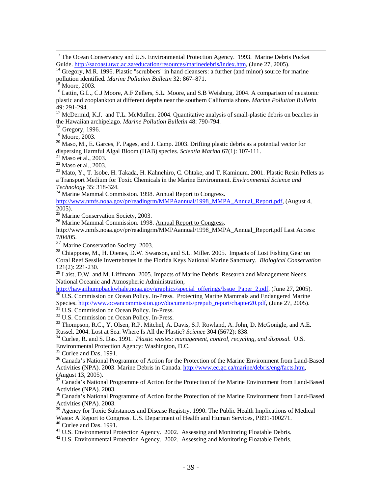<sup>16</sup> Lattin, G.L., C.J Moore, A.F Zellers, S.L. Moore, and S.B Weisburg. 2004. A comparison of neustonic plastic and zooplankton at different depths near the southern California shore. *Marine Pollution Bulletin* 49: 291-294.

<sup>17</sup> McDermid, K.J. and T.L. McMullen. 2004. Quantitative analysis of small-plastic debris on beaches in the Hawaiian archipelago. *Marine Pollution Bulletin* 48: 790-794.

 $18$  Gregory, 1996.

<sup>19</sup> Moore, 2003.

 $^{20}$  Maso, M., E. Garces, F. Pages, and J. Camp. 2003. Drifting plastic debris as a potential vector for dispersing Harmful Algal Bloom (HAB) species. *Scientia Marina* 67(1): 107-111.<br><sup>21</sup> Maso et al., 2003.

 $22$  Maso et al., 2003.

 $^{23}$  Mato, Y., T. Isobe, H. Takada, H. Kahnehiro, C. Ohtake, and T. Kaminum. 2001. Plastic Resin Pellets as a Transport Medium for Toxic Chemicals in the Marine Environment. *Environmental Science and* 

*Technology* 35: 318-324. 24 Marine Mammal Commission. 1998. Annual Report to Congress.

http://www.nmfs.noaa.gov/pr/readingrm/MMPAannual/1998\_MMPA\_Annual\_Report.pdf, (August 4, 2005).

<sup>25</sup> Marine Conservation Society, 2003.

<sup>26</sup> Marine Mammal Commission. 1998. Annual Report to Congress.

http://www.nmfs.noaa.gov/pr/readingrm/MMPAannual/1998\_MMPA\_Annual\_Report.pdf Last Access: 7/04/05.

<sup>27</sup> Marine Conservation Society, 2003.

<sup>28</sup> Chiappone, M., H. Dienes, D.W. Swanson, and S.L. Miller. 2005. Impacts of Lost Fishing Gear on Coral Reef Sessile Invertebrates in the Florida Keys National Marine Sanctuary. *Biological Conservation*  121(2): 221-230.

 $29$  Laist, D.W. and M. Liffmann. 2005. Impacts of Marine Debris: Research and Management Needs. National Oceanic and Atmospheric Administration,<br>http://hawaiihumpbackwhale.noaa.gov/graphics/special offerings/Issue Paper 2.pdf, (June 27, 2005).

 $\frac{30 \text{ U.S.}$  Commission on Ocean Policy. In-Press. Protecting Marine Mammals and Endangered Marine Species. http://www.oceancommission.gov/documents/prepub report/chapter20.pdf, (June 27, 2005).

<sup>31</sup> U.S. Commission on Ocean Policy. In-Press.<br><sup>32</sup> U.S. Commission on Ocean Policy. In-Press.<br><sup>33</sup> Thompson, R.C., Y. Olsen, R.P. Mitchel, A. Davis, S.J. Rowland, A. John, D. McGonigle, and A.E.<br>Russel. 2004. Lost at Sea

<sup>34</sup> Curlee, R. and S. Das. 1991. *Plastic wastes: management, control, recycling, and disposal.* U.S. Environmental Protection Agency: Washington, D.C.

 $35$  Curlee and Das, 1991.

<sup>36</sup> Canada's National Programme of Action for the Protection of the Marine Environment from Land-Based Activities (NPA). 2003. Marine Debris in Canada. http://www.ec.gc.ca/marine/debris/eng/facts.htm, (August 13, 2005).

37 Canada's National Programme of Action for the Protection of the Marine Environment from Land-Based Activities (NPA). 2003.

<sup>38</sup> Canada's National Programme of Action for the Protection of the Marine Environment from Land-Based Activities (NPA). 2003.

<sup>39</sup> Agency for Toxic Substances and Disease Registry. 1990. The Public Health Implications of Medical Waste: A Report to Congress. U.S. Department of Health and Human Services, PB91-100271.

<sup>40</sup> Curlee and Das. 1991.

<sup>41</sup> U.S. Environmental Protection Agency. 2002. Assessing and Monitoring Floatable Debris.

 $42$  U.S. Environmental Protection Agency. 2002. Assessing and Monitoring Floatable Debris.

<sup>&</sup>lt;sup>13</sup> The Ocean Conservancy and U.S. Environmental Protection Agency. 1993. Marine Debris Pocket Guide. http://sacoast.uwc.ac.za/education/resources/marinedebris/index.htm, (June 27, 2005).<br><sup>14</sup> Gregory, M.R. 1996. Plastic "scrubbers" in hand cleansers: a further (and minor) source for marine

pollution identified. *Marine Pollution Bulletin* 32: 867–871.<br><sup>15</sup> Moore, 2003.